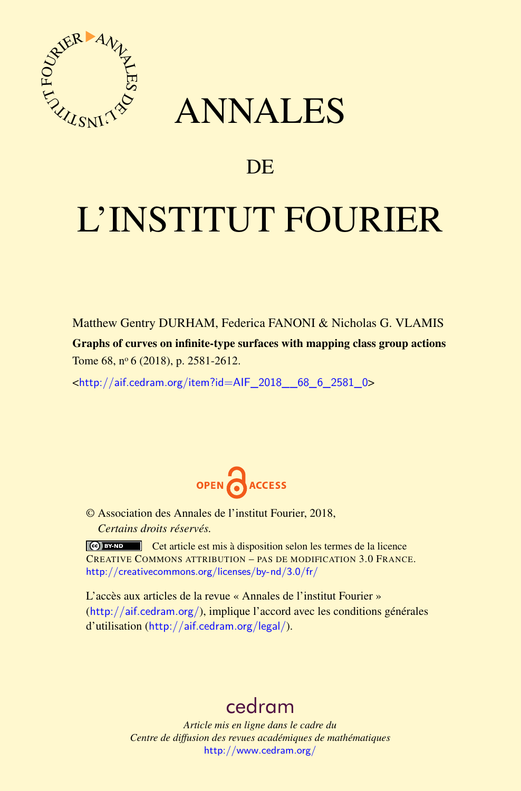

## ANNALES

### **DE**

# L'INSTITUT FOURIER

Matthew Gentry DURHAM, Federica FANONI & Nicholas G. VLAMIS Graphs of curves on infinite-type surfaces with mapping class group actions Tome 68, nº 6 (2018), p. 2581-2612.

<[http://aif.cedram.org/item?id=AIF\\_2018\\_\\_68\\_6\\_2581\\_0](http://aif.cedram.org/item?id=AIF_2018__68_6_2581_0)>



© Association des Annales de l'institut Fourier, 2018, *Certains droits réservés.*

Cet article est mis à disposition selon les termes de la licence CREATIVE COMMONS ATTRIBUTION – PAS DE MODIFICATION 3.0 FRANCE. <http://creativecommons.org/licenses/by-nd/3.0/fr/>

L'accès aux articles de la revue « Annales de l'institut Fourier » (<http://aif.cedram.org/>), implique l'accord avec les conditions générales d'utilisation (<http://aif.cedram.org/legal/>).

## [cedram](http://www.cedram.org/)

*Article mis en ligne dans le cadre du Centre de diffusion des revues académiques de mathématiques* <http://www.cedram.org/>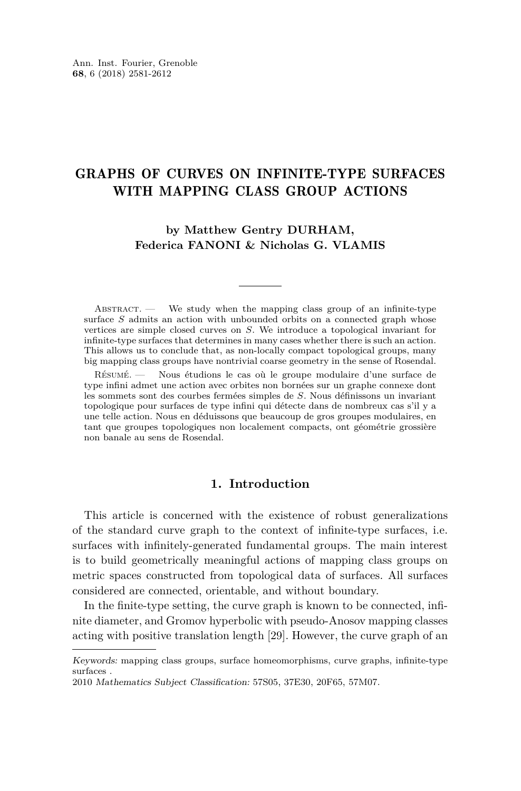#### GRAPHS OF CURVES ON INFINITE-TYPE SURFACES WITH MAPPING CLASS GROUP ACTIONS

**by Matthew Gentry DURHAM, Federica FANONI & Nicholas G. VLAMIS**

 $ABSTRACT.$  We study when the mapping class group of an infinite-type surface *S* admits an action with unbounded orbits on a connected graph whose vertices are simple closed curves on *S*. We introduce a topological invariant for infinite-type surfaces that determines in many cases whether there is such an action. This allows us to conclude that, as non-locally compact topological groups, many big mapping class groups have nontrivial coarse geometry in the sense of Rosendal.

Résumé. — Nous étudions le cas où le groupe modulaire d'une surface de type infini admet une action avec orbites non bornées sur un graphe connexe dont les sommets sont des courbes fermées simples de *S*. Nous définissons un invariant topologique pour surfaces de type infini qui détecte dans de nombreux cas s'il y a une telle action. Nous en déduissons que beaucoup de gros groupes modulaires, en tant que groupes topologiques non localement compacts, ont géométrie grossière non banale au sens de Rosendal.

#### **1. Introduction**

This article is concerned with the existence of robust generalizations of the standard curve graph to the context of infinite-type surfaces, i.e. surfaces with infinitely-generated fundamental groups. The main interest is to build geometrically meaningful actions of mapping class groups on metric spaces constructed from topological data of surfaces. All surfaces considered are connected, orientable, and without boundary.

In the finite-type setting, the curve graph is known to be connected, infinite diameter, and Gromov hyperbolic with pseudo-Anosov mapping classes acting with positive translation length [\[29\]](#page-31-0). However, the curve graph of an

Keywords: mapping class groups, surface homeomorphisms, curve graphs, infinite-type surfaces .

<sup>2010</sup> Mathematics Subject Classification: 57S05, 37E30, 20F65, 57M07.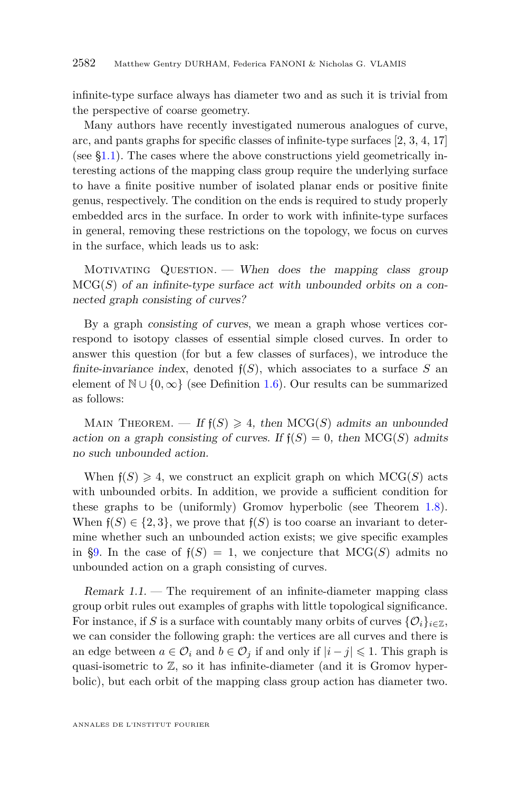infinite-type surface always has diameter two and as such it is trivial from the perspective of coarse geometry.

Many authors have recently investigated numerous analogues of curve, arc, and pants graphs for specific classes of infinite-type surfaces [\[2,](#page-30-0) [3,](#page-30-1) [4,](#page-30-2) [17\]](#page-31-1) (see [§1.1\)](#page-3-0). The cases where the above constructions yield geometrically interesting actions of the mapping class group require the underlying surface to have a finite positive number of isolated planar ends or positive finite genus, respectively. The condition on the ends is required to study properly embedded arcs in the surface. In order to work with infinite-type surfaces in general, removing these restrictions on the topology, we focus on curves in the surface, which leads us to ask:

MOTIVATING QUESTION. — When does the mapping class group  $MCG(S)$  of an infinite-type surface act with unbounded orbits on a connected graph consisting of curves?

By a graph consisting of curves, we mean a graph whose vertices correspond to isotopy classes of essential simple closed curves. In order to answer this question (for but a few classes of surfaces), we introduce the finite-invariance index, denoted  $f(S)$ , which associates to a surface S an element of  $\mathbb{N} \cup \{0, \infty\}$  (see Definition [1.6\)](#page-5-0). Our results can be summarized as follows:

MAIN THEOREM. — If  $f(S) \geq 4$ , then MCG(S) admits an unbounded action on a graph consisting of curves. If  $f(S) = 0$ , then MCG(*S*) admits no such unbounded action.

When  $f(S) \geq 4$ , we construct an explicit graph on which  $MCG(S)$  acts with unbounded orbits. In addition, we provide a sufficient condition for these graphs to be (uniformly) Gromov hyperbolic (see Theorem [1.8\)](#page-6-0). When  $f(S) \in \{2, 3\}$ , we prove that  $f(S)$  is too coarse an invariant to determine whether such an unbounded action exists; we give specific examples in [§9.](#page-23-0) In the case of  $f(S) = 1$ , we conjecture that  $MCG(S)$  admits no unbounded action on a graph consisting of curves.

Remark 1.1. — The requirement of an infinite-diameter mapping class group orbit rules out examples of graphs with little topological significance. For instance, if *S* is a surface with countably many orbits of curves  $\{O_i\}_{i\in\mathbb{Z}}$ , we can consider the following graph: the vertices are all curves and there is an edge between  $a \in \mathcal{O}_i$  and  $b \in \mathcal{O}_j$  if and only if  $|i - j| \leq 1$ . This graph is quasi-isometric to  $\mathbb{Z}$ , so it has infinite-diameter (and it is Gromov hyperbolic), but each orbit of the mapping class group action has diameter two.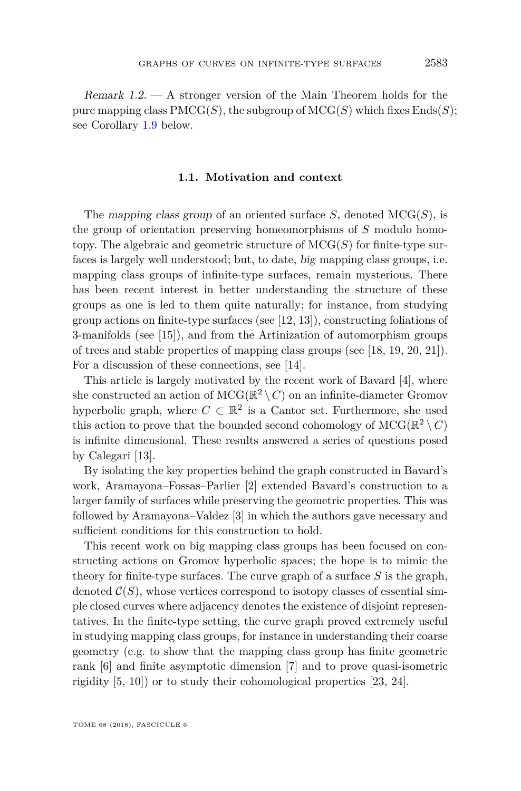Remark 1.2. — A stronger version of the Main Theorem holds for the pure mapping class  $\text{PMCG}(S)$ , the subgroup of  $\text{MCG}(S)$  which fixes  $\text{Ends}(S)$ ; see Corollary [1.9](#page-6-1) below.

#### **1.1. Motivation and context**

<span id="page-3-0"></span>The mapping class group of an oriented surface *S*, denoted MCG(*S*), is the group of orientation preserving homeomorphisms of *S* modulo homotopy. The algebraic and geometric structure of  $MCG(S)$  for finite-type surfaces is largely well understood; but, to date, big mapping class groups, i.e. mapping class groups of infinite-type surfaces, remain mysterious. There has been recent interest in better understanding the structure of these groups as one is led to them quite naturally; for instance, from studying group actions on finite-type surfaces (see [\[12,](#page-30-3) [13\]](#page-30-4)), constructing foliations of 3-manifolds (see [\[15\]](#page-31-2)), and from the Artinization of automorphism groups of trees and stable properties of mapping class groups (see [\[18,](#page-31-3) [19,](#page-31-4) [20,](#page-31-5) [21\]](#page-31-6)). For a discussion of these connections, see [\[14\]](#page-31-7).

This article is largely motivated by the recent work of Bavard [\[4\]](#page-30-2), where she constructed an action of  $MCG(\mathbb{R}^2 \setminus C)$  on an infinite-diameter Gromov hyperbolic graph, where  $C \subset \mathbb{R}^2$  is a Cantor set. Furthermore, she used this action to prove that the bounded second cohomology of  $MCG(\mathbb{R}^2 \setminus C)$ is infinite dimensional. These results answered a series of questions posed by Calegari [\[13\]](#page-30-4).

By isolating the key properties behind the graph constructed in Bavard's work, Aramayona–Fossas–Parlier [\[2\]](#page-30-0) extended Bavard's construction to a larger family of surfaces while preserving the geometric properties. This was followed by Aramayona–Valdez [\[3\]](#page-30-1) in which the authors gave necessary and sufficient conditions for this construction to hold.

This recent work on big mapping class groups has been focused on constructing actions on Gromov hyperbolic spaces; the hope is to mimic the theory for finite-type surfaces. The curve graph of a surface *S* is the graph, denoted  $\mathcal{C}(S)$ , whose vertices correspond to isotopy classes of essential simple closed curves where adjacency denotes the existence of disjoint representatives. In the finite-type setting, the curve graph proved extremely useful in studying mapping class groups, for instance in understanding their coarse geometry (e.g. to show that the mapping class group has finite geometric rank [\[6\]](#page-30-5) and finite asymptotic dimension [\[7\]](#page-30-6) and to prove quasi-isometric rigidity [\[5,](#page-30-7) [10\]](#page-30-8)) or to study their cohomological properties [\[23,](#page-31-8) [24\]](#page-31-9).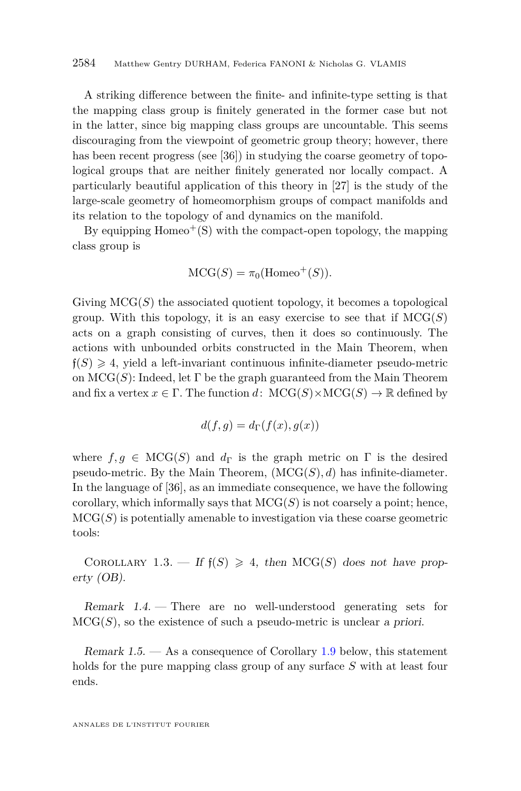A striking difference between the finite- and infinite-type setting is that the mapping class group is finitely generated in the former case but not in the latter, since big mapping class groups are uncountable. This seems discouraging from the viewpoint of geometric group theory; however, there has been recent progress (see [\[36\]](#page-31-10)) in studying the coarse geometry of topological groups that are neither finitely generated nor locally compact. A particularly beautiful application of this theory in [\[27\]](#page-31-11) is the study of the large-scale geometry of homeomorphism groups of compact manifolds and its relation to the topology of and dynamics on the manifold.

By equipping  $Homeo^+(S)$  with the compact-open topology, the mapping class group is

$$
\mathrm{MCG}(S) = \pi_0(\mathrm{Homeo}^+(S)).
$$

Giving  $MCG(S)$  the associated quotient topology, it becomes a topological group. With this topology, it is an easy exercise to see that if  $MCG(S)$ acts on a graph consisting of curves, then it does so continuously. The actions with unbounded orbits constructed in the Main Theorem, when  $f(S) \geq 4$ , yield a left-invariant continuous infinite-diameter pseudo-metric on  $MCG(S)$ : Indeed, let  $\Gamma$  be the graph guaranteed from the Main Theorem and fix a vertex  $x \in \Gamma$ . The function  $d$ :  $MCG(S) \times MCG(S) \rightarrow \mathbb{R}$  defined by

$$
d(f,g) = d_{\Gamma}(f(x),g(x))
$$

where  $f, q \in \text{MCG}(S)$  and  $d_{\Gamma}$  is the graph metric on  $\Gamma$  is the desired pseudo-metric. By the Main Theorem,  $(MCG(S), d)$  has infinite-diameter. In the language of [\[36\]](#page-31-10), as an immediate consequence, we have the following corollary, which informally says that  $MCG(S)$  is not coarsely a point; hence,  $MCG(S)$  is potentially amenable to investigation via these coarse geometric tools:

COROLLARY 1.3. — If  $f(S) \geq 4$ , then MCG(S) does not have property (OB).

Remark  $1.4.$  – There are no well-understood generating sets for  $MCG(S)$ , so the existence of such a pseudo-metric is unclear a priori.

Remark 1.5.  $\sim$  As a consequence of Corollary [1.9](#page-6-1) below, this statement holds for the pure mapping class group of any surface *S* with at least four ends.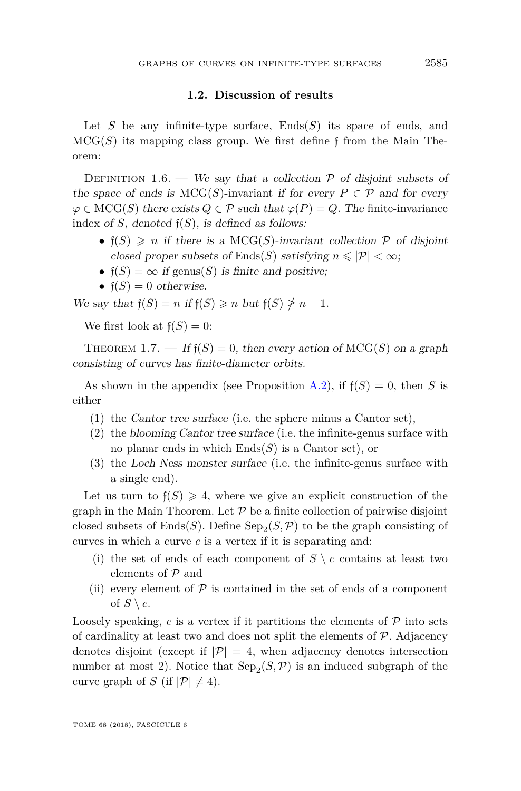#### **1.2. Discussion of results**

Let *S* be any infinite-type surface, Ends(*S*) its space of ends, and  $MCG(S)$  its mapping class group. We first define f from the Main Theorem:

<span id="page-5-0"></span>DEFINITION 1.6. — We say that a collection  $P$  of disjoint subsets of the space of ends is  $MCG(S)$ -invariant if for every  $P \in \mathcal{P}$  and for every  $\varphi \in \text{MCG}(S)$  there exists  $Q \in \mathcal{P}$  such that  $\varphi(P) = Q$ . The finite-invariance index of *S*, denoted  $f(S)$ , is defined as follows:

- $f(S) \geq n$  if there is a MCG(*S*)-invariant collection  $P$  of disjoint closed proper subsets of Ends(*S*) satisfying  $n \leq |\mathcal{P}| < \infty$ ;
- $f(S) = \infty$  if genus(S) is finite and positive;
- $f(S) = 0$  otherwise.

We say that  $f(S) = n$  if  $f(S) \geq n$  but  $f(S) \not\geq n + 1$ .

We first look at  $f(S) = 0$ :

<span id="page-5-1"></span>THEOREM 1.7. — If  $f(S) = 0$ , then every action of  $MCG(S)$  on a graph consisting of curves has finite-diameter orbits.

As shown in the appendix (see Proposition [A.2\)](#page-29-0), if  $f(S) = 0$ , then *S* is either

- (1) the Cantor tree surface (i.e. the sphere minus a Cantor set),
- (2) the blooming Cantor tree surface (i.e. the infinite-genus surface with no planar ends in which Ends(*S*) is a Cantor set), or
- (3) the Loch Ness monster surface (i.e. the infinite-genus surface with a single end).

Let us turn to  $f(S) \geq 4$ , where we give an explicit construction of the graph in the Main Theorem. Let  $P$  be a finite collection of pairwise disjoint closed subsets of  $\text{Ends}(S)$ . Define  $\text{Sep}_2(S, \mathcal{P})$  to be the graph consisting of curves in which a curve *c* is a vertex if it is separating and:

- (i) the set of ends of each component of  $S \setminus c$  contains at least two elements of  $P$  and
- (ii) every element of  $P$  is contained in the set of ends of a component of  $S \setminus c$ .

Loosely speaking,  $c$  is a vertex if it partitions the elements of  $\mathcal P$  into sets of cardinality at least two and does not split the elements of  $P$ . Adjacency denotes disjoint (except if  $|\mathcal{P}| = 4$ , when adjacency denotes intersection number at most 2). Notice that  $\text{Sep}_2(S, \mathcal{P})$  is an induced subgraph of the curve graph of *S* (if  $|\mathcal{P}| \neq 4$ ).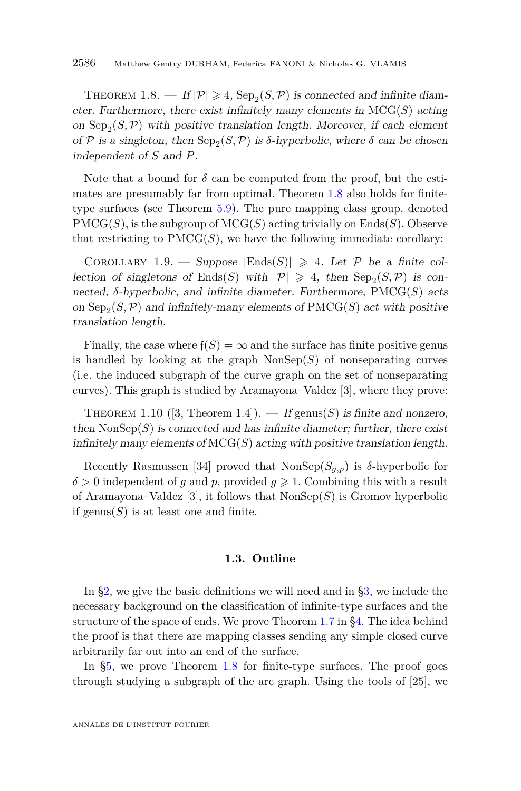<span id="page-6-0"></span>THEOREM 1.8.  $-H|\mathcal{P}| \geq 4$ ,  $\text{Sep}_2(S, \mathcal{P})$  is connected and infinite diameter. Furthermore, there exist infinitely many elements in  $MCG(S)$  acting on  $\text{Sep}_2(S,\mathcal{P})$  with positive translation length. Moreover, if each element of P is a singleton, then  $\text{Sep}_2(S, \mathcal{P})$  is  $\delta$ -hyperbolic, where  $\delta$  can be chosen independent of *S* and *P*.

Note that a bound for  $\delta$  can be computed from the proof, but the estimates are presumably far from optimal. Theorem [1.8](#page-6-0) also holds for finitetype surfaces (see Theorem [5.9\)](#page-16-0). The pure mapping class group, denoted  $\text{PMCG}(S)$ , is the subgroup of  $\text{MCG}(S)$  acting trivially on  $\text{Ends}(S)$ . Observe that restricting to  $\text{PMCG}(S)$ , we have the following immediate corollary:

<span id="page-6-1"></span>COROLLARY 1.9. — Suppose  $|\text{Ends}(S)| \geq 4$ . Let P be a finite collection of singletons of Ends(S) with  $|\mathcal{P}| \geq 4$ , then  $\text{Sep}_2(S, \mathcal{P})$  is connected, *δ*-hyperbolic, and infinite diameter. Furthermore, PMCG(*S*) acts on  $\text{Sep}_2(S, \mathcal{P})$  and infinitely-many elements of  $\text{PMCG}(S)$  act with positive translation length.

Finally, the case where  $f(S) = \infty$  and the surface has finite positive genus is handled by looking at the graph  $\text{NonSep}(S)$  of nonseparating curves (i.e. the induced subgraph of the curve graph on the set of nonseparating curves). This graph is studied by Aramayona–Valdez [\[3\]](#page-30-1), where they prove:

<span id="page-6-2"></span>THEOREM 1.10 ([\[3,](#page-30-1) Theorem 1.4]). — If genus(*S*) is finite and nonzero, then  $\text{NonSep}(S)$  is connected and has infinite diameter; further, there exist infinitely many elements of  $MCG(S)$  acting with positive translation length.

Recently Rasmussen [\[34\]](#page-31-12) proved that  $\text{NonSep}(S_{q,p})$  is  $\delta$ -hyperbolic for  $\delta > 0$  independent of *g* and *p*, provided  $g \ge 1$ . Combining this with a result of Aramayona–Valdez [\[3\]](#page-30-1), it follows that NonSep(*S*) is Gromov hyperbolic if genus $(S)$  is at least one and finite.

#### **1.3. Outline**

In [§2,](#page-7-0) we give the basic definitions we will need and in [§3,](#page-8-0) we include the necessary background on the classification of infinite-type surfaces and the structure of the space of ends. We prove Theorem [1.7](#page-5-1) in [§4.](#page-10-0) The idea behind the proof is that there are mapping classes sending any simple closed curve arbitrarily far out into an end of the surface.

In [§5,](#page-12-0) we prove Theorem [1.8](#page-6-0) for finite-type surfaces. The proof goes through studying a subgraph of the arc graph. Using the tools of [\[25\]](#page-31-13), we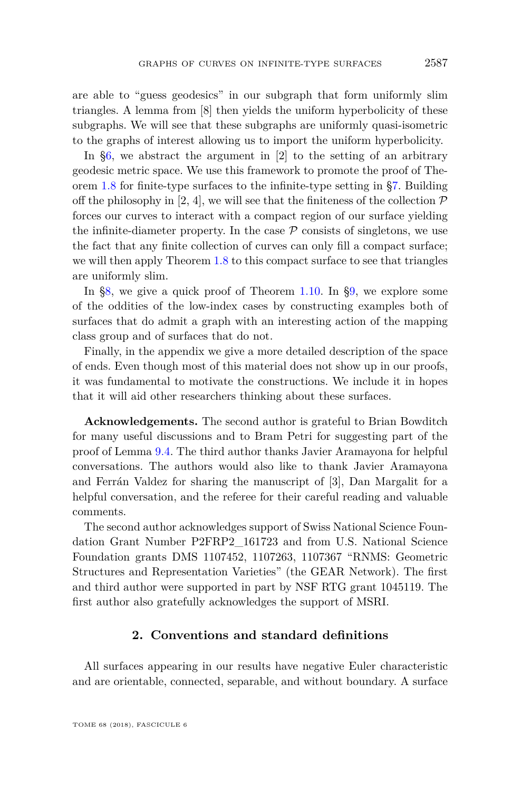are able to "guess geodesics" in our subgraph that form uniformly slim triangles. A lemma from [\[8\]](#page-30-9) then yields the uniform hyperbolicity of these subgraphs. We will see that these subgraphs are uniformly quasi-isometric to the graphs of interest allowing us to import the uniform hyperbolicity.

In [§6,](#page-17-0) we abstract the argument in [\[2\]](#page-30-0) to the setting of an arbitrary geodesic metric space. We use this framework to promote the proof of Theorem [1.8](#page-6-0) for finite-type surfaces to the infinite-type setting in [§7.](#page-20-0) Building off the philosophy in [\[2,](#page-30-0) [4\]](#page-30-2), we will see that the finiteness of the collection  $\mathcal P$ forces our curves to interact with a compact region of our surface yielding the infinite-diameter property. In the case  $P$  consists of singletons, we use the fact that any finite collection of curves can only fill a compact surface; we will then apply Theorem [1.8](#page-6-0) to this compact surface to see that triangles are uniformly slim.

In [§8,](#page-22-0) we give a quick proof of Theorem [1.10.](#page-6-2) In [§9,](#page-23-0) we explore some of the oddities of the low-index cases by constructing examples both of surfaces that do admit a graph with an interesting action of the mapping class group and of surfaces that do not.

Finally, in the appendix we give a more detailed description of the space of ends. Even though most of this material does not show up in our proofs, it was fundamental to motivate the constructions. We include it in hopes that it will aid other researchers thinking about these surfaces.

**Acknowledgements.** The second author is grateful to Brian Bowditch for many useful discussions and to Bram Petri for suggesting part of the proof of Lemma [9.4.](#page-25-0) The third author thanks Javier Aramayona for helpful conversations. The authors would also like to thank Javier Aramayona and Ferrán Valdez for sharing the manuscript of [\[3\]](#page-30-1), Dan Margalit for a helpful conversation, and the referee for their careful reading and valuable comments.

The second author acknowledges support of Swiss National Science Foundation Grant Number P2FRP2\_161723 and from U.S. National Science Foundation grants DMS 1107452, 1107263, 1107367 "RNMS: Geometric Structures and Representation Varieties" (the GEAR Network). The first and third author were supported in part by NSF RTG grant 1045119. The first author also gratefully acknowledges the support of MSRI.

#### **2. Conventions and standard definitions**

<span id="page-7-0"></span>All surfaces appearing in our results have negative Euler characteristic and are orientable, connected, separable, and without boundary. A surface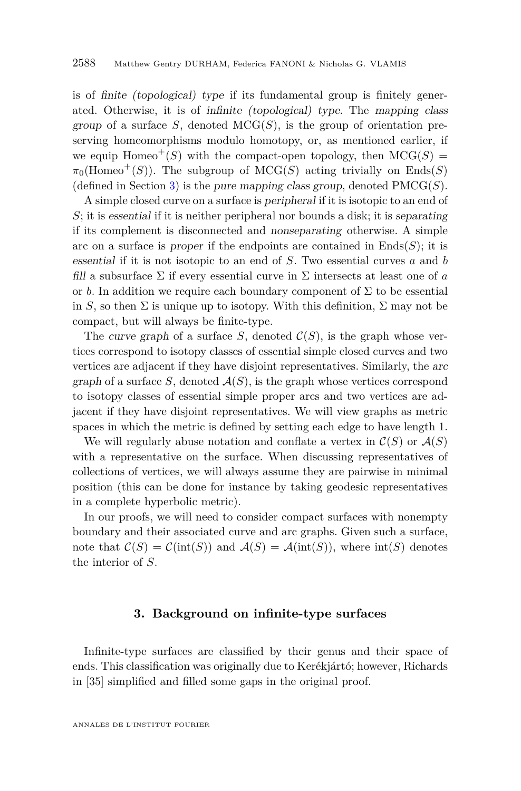is of finite (topological) type if its fundamental group is finitely generated. Otherwise, it is of infinite (topological) type. The mapping class group of a surface *S*, denoted MCG(*S*), is the group of orientation preserving homeomorphisms modulo homotopy, or, as mentioned earlier, if we equip Homeo<sup>+</sup>(S) with the compact-open topology, then  $MCG(S)$  =  $\pi_0(\text{Homeo}^+(S))$ . The subgroup of MCG(*S*) acting trivially on Ends(*S*) (defined in Section [3\)](#page-8-0) is the pure mapping class group, denoted  $\text{PMCG}(S)$ .

A simple closed curve on a surface is peripheral if it is isotopic to an end of *S*; it is essential if it is neither peripheral nor bounds a disk; it is separating if its complement is disconnected and nonseparating otherwise. A simple arc on a surface is proper if the endpoints are contained in  $\text{Ends}(S)$ ; it is essential if it is not isotopic to an end of *S*. Two essential curves *a* and *b* fill a subsurface  $\Sigma$  if every essential curve in  $\Sigma$  intersects at least one of *a* or *b*. In addition we require each boundary component of  $\Sigma$  to be essential in *S*, so then  $\Sigma$  is unique up to isotopy. With this definition,  $\Sigma$  may not be compact, but will always be finite-type.

The curve graph of a surface *S*, denoted  $C(S)$ , is the graph whose vertices correspond to isotopy classes of essential simple closed curves and two vertices are adjacent if they have disjoint representatives. Similarly, the arc graph of a surface  $S$ , denoted  $\mathcal{A}(S)$ , is the graph whose vertices correspond to isotopy classes of essential simple proper arcs and two vertices are adjacent if they have disjoint representatives. We will view graphs as metric spaces in which the metric is defined by setting each edge to have length 1.

We will regularly abuse notation and conflate a vertex in  $\mathcal{C}(S)$  or  $\mathcal{A}(S)$ with a representative on the surface. When discussing representatives of collections of vertices, we will always assume they are pairwise in minimal position (this can be done for instance by taking geodesic representatives in a complete hyperbolic metric).

In our proofs, we will need to consider compact surfaces with nonempty boundary and their associated curve and arc graphs. Given such a surface, note that  $\mathcal{C}(S) = \mathcal{C}(\text{int}(S))$  and  $\mathcal{A}(S) = \mathcal{A}(\text{int}(S))$ , where  $\text{int}(S)$  denotes the interior of *S*.

#### **3. Background on infinite-type surfaces**

<span id="page-8-0"></span>Infinite-type surfaces are classified by their genus and their space of ends. This classification was originally due to Kerékjártó; however, Richards in [\[35\]](#page-31-14) simplified and filled some gaps in the original proof.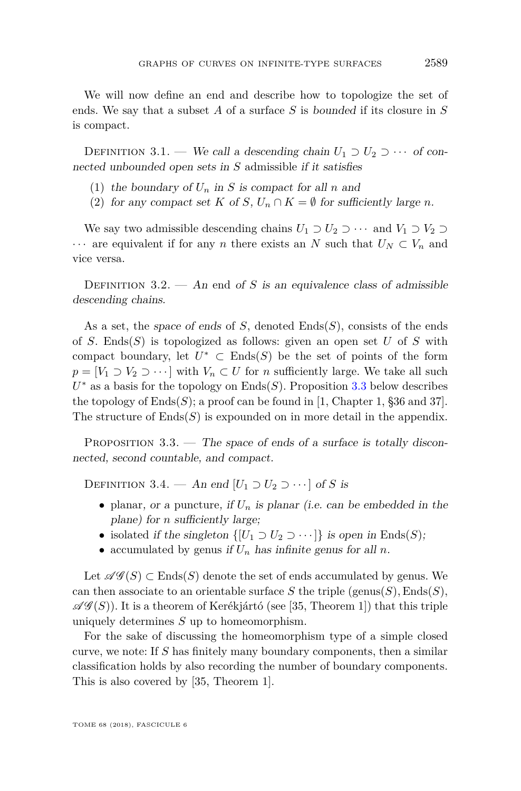We will now define an end and describe how to topologize the set of ends. We say that a subset *A* of a surface *S* is bounded if its closure in *S* is compact.

DEFINITION 3.1. — We call a descending chain  $U_1 \supset U_2 \supset \cdots$  of connected unbounded open sets in *S* admissible if it satisfies

- (1) the boundary of  $U_n$  in *S* is compact for all *n* and
- (2) for any compact set *K* of *S*,  $U_n \cap K = \emptyset$  for sufficiently large *n*.

We say two admissible descending chains  $U_1 \supset U_2 \supset \cdots$  and  $V_1 \supset V_2 \supset$  $\cdots$  are equivalent if for any *n* there exists an *N* such that  $U_N \subset V_n$  and vice versa.

DEFINITION  $3.2.$  — An end of *S* is an equivalence class of admissible descending chains.

As a set, the space of ends of *S*, denoted Ends(*S*), consists of the ends of *S*. Ends(*S*) is topologized as follows: given an open set *U* of *S* with compact boundary, let  $U^*$   $\subset$  Ends(S) be the set of points of the form  $p = [V_1 \supset V_2 \supset \cdots]$  with  $V_n \subset U$  for *n* sufficiently large. We take all such *U* <sup>∗</sup> as a basis for the topology on Ends(*S*). Proposition [3.3](#page-9-0) below describes the topology of  $\text{Ends}(S)$ ; a proof can be found in [\[1,](#page-30-10) Chapter 1, §36 and 37]. The structure of  $Ends(S)$  is expounded on in more detail in the appendix.

<span id="page-9-0"></span>PROPOSITION  $3.3.$  — The space of ends of a surface is totally disconnected, second countable, and compact.

DEFINITION 3.4. — An end  $[U_1 \supset U_2 \supset \cdots]$  of *S* is

- planar, or a puncture, if  $U_n$  is planar (i.e. can be embedded in the plane) for *n* sufficiently large;
- isolated if the singleton  $\{[U_1 \supset U_2 \supset \cdots]\}$  is open in Ends(*S*);
- accumulated by genus if  $U_n$  has infinite genus for all  $n$ .

Let  $\mathscr{AG}(S) \subset \text{Ends}(S)$  denote the set of ends accumulated by genus. We can then associate to an orientable surface *S* the triple (genus(*S*), Ends(*S*),  $\mathscr{AG}(S)$ ). It is a theorem of Kerékjártó (see [\[35,](#page-31-14) Theorem 1]) that this triple uniquely determines *S* up to homeomorphism.

For the sake of discussing the homeomorphism type of a simple closed curve, we note: If *S* has finitely many boundary components, then a similar classification holds by also recording the number of boundary components. This is also covered by [\[35,](#page-31-14) Theorem 1].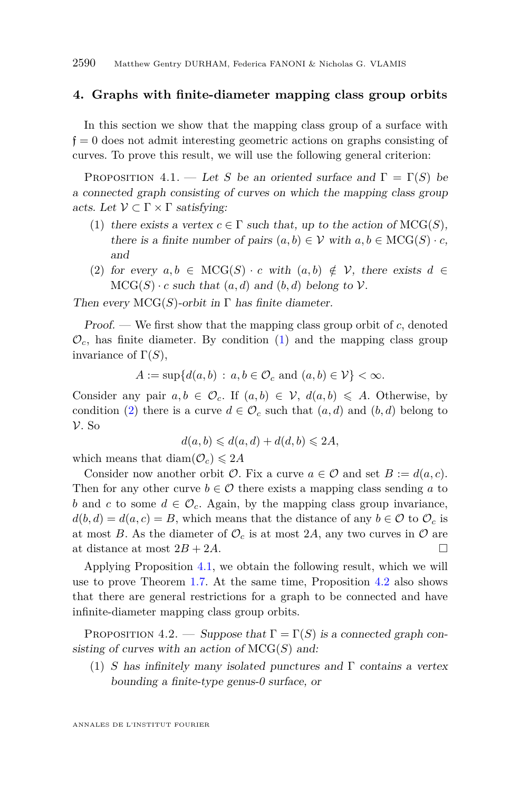#### <span id="page-10-0"></span>**4. Graphs with finite-diameter mapping class group orbits**

In this section we show that the mapping class group of a surface with  $f = 0$  does not admit interesting geometric actions on graphs consisting of curves. To prove this result, we will use the following general criterion:

<span id="page-10-3"></span>PROPOSITION 4.1. — Let *S* be an oriented surface and  $\Gamma = \Gamma(S)$  be a connected graph consisting of curves on which the mapping class group acts. Let  $\mathcal{V} \subset \Gamma \times \Gamma$  satisfying:

- <span id="page-10-1"></span>(1) there exists a vertex  $c \in \Gamma$  such that, up to the action of  $MCG(S)$ , there is a finite number of pairs  $(a, b) \in V$  with  $a, b \in \text{MCG}(S) \cdot c$ , and
- <span id="page-10-2"></span>(2) for every  $a, b \in \text{MCG}(S) \cdot c$  with  $(a, b) \notin V$ , there exists  $d \in$  $MCG(S) \cdot c$  such that  $(a, d)$  and  $(b, d)$  belong to  $V$ .

Then every  $MCG(S)$ -orbit in  $\Gamma$  has finite diameter.

Proof. — We first show that the mapping class group orbit of *c*, denoted  $\mathcal{O}_c$ , has finite diameter. By condition [\(1\)](#page-10-1) and the mapping class group invariance of  $\Gamma(S)$ ,

 $A := \sup\{d(a, b) : a, b \in \mathcal{O}_c \text{ and } (a, b) \in \mathcal{V}\} < \infty.$ 

Consider any pair  $a, b \in \mathcal{O}_c$ . If  $(a, b) \in \mathcal{V}$ ,  $d(a, b) \leq A$ . Otherwise, by condition [\(2\)](#page-10-2) there is a curve  $d \in \mathcal{O}_c$  such that  $(a, d)$  and  $(b, d)$  belong to V. So

$$
d(a,b) \leq d(a,d) + d(d,b) \leq 2A,
$$

which means that  $\text{diam}(\mathcal{O}_c) \leq 2A$ 

Consider now another orbit  $\mathcal{O}$ . Fix a curve  $a \in \mathcal{O}$  and set  $B := d(a, c)$ . Then for any other curve  $b \in \mathcal{O}$  there exists a mapping class sending a to *b* and *c* to some  $d \in \mathcal{O}_c$ . Again, by the mapping class group invariance,  $d(b, d) = d(a, c) = B$ , which means that the distance of any  $b \in \mathcal{O}$  to  $\mathcal{O}_c$  is at most *B*. As the diameter of  $\mathcal{O}_c$  is at most 2*A*, any two curves in  $\mathcal O$  are at distance at most  $2B + 2A$ .

Applying Proposition [4.1,](#page-10-3) we obtain the following result, which we will use to prove Theorem [1.7.](#page-5-1) At the same time, Proposition [4.2](#page-10-4) also shows that there are general restrictions for a graph to be connected and have infinite-diameter mapping class group orbits.

<span id="page-10-4"></span>PROPOSITION 4.2. — Suppose that  $\Gamma = \Gamma(S)$  is a connected graph consisting of curves with an action of MCG(*S*) and:

<span id="page-10-5"></span>(1) *S* has infinitely many isolated punctures and  $\Gamma$  contains a vertex bounding a finite-type genus-0 surface, or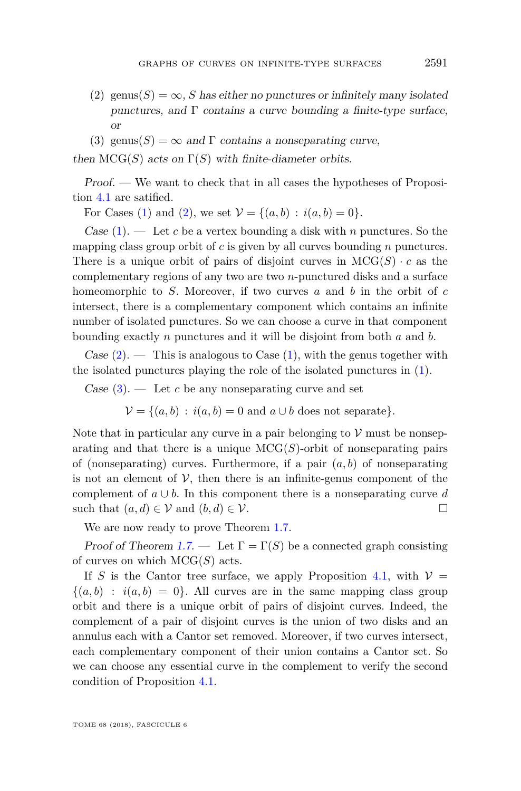- <span id="page-11-0"></span>(2) genus(*S*) =  $\infty$ , *S* has either no punctures or infinitely many isolated punctures, and  $\Gamma$  contains a curve bounding a finite-type surface, or
- <span id="page-11-1"></span>(3) genus(*S*) =  $\infty$  and  $\Gamma$  contains a nonseparating curve,

then  $MCG(S)$  acts on  $\Gamma(S)$  with finite-diameter orbits.

Proof. — We want to check that in all cases the hypotheses of Proposition [4.1](#page-10-3) are satified.

For Cases [\(1\)](#page-10-5) and [\(2\)](#page-11-0), we set  $V = \{(a, b) : i(a, b) = 0\}.$ 

Case [\(1\)](#page-10-5). — Let *c* be a vertex bounding a disk with *n* punctures. So the mapping class group orbit of *c* is given by all curves bounding *n* punctures. There is a unique orbit of pairs of disjoint curves in  $MCG(S) \cdot c$  as the complementary regions of any two are two *n*-punctured disks and a surface homeomorphic to *S*. Moreover, if two curves *a* and *b* in the orbit of *c* intersect, there is a complementary component which contains an infinite number of isolated punctures. So we can choose a curve in that component bounding exactly *n* punctures and it will be disjoint from both *a* and *b*.

Case  $(2)$ . — This is analogous to Case  $(1)$ , with the genus together with the isolated punctures playing the role of the isolated punctures in [\(1\)](#page-10-5).

Case  $(3)$ . — Let *c* be any nonseparating curve and set

 $V = \{(a, b) : i(a, b) = 0 \text{ and } a \cup b \text{ does not separate}\}.$ 

Note that in particular any curve in a pair belonging to  $\mathcal V$  must be nonseparating and that there is a unique  $MCG(S)$ -orbit of nonseparating pairs of (nonseparating) curves. Furthermore, if a pair  $(a, b)$  of nonseparating is not an element of  $\mathcal V$ , then there is an infinite-genus component of the complement of  $a \cup b$ . In this component there is a nonseparating curve *d* such that  $(a, d) \in V$  and  $(b, d) \in V$ .

We are now ready to prove Theorem [1.7.](#page-5-1)

Proof of Theorem [1.7.](#page-5-1) — Let  $\Gamma = \Gamma(S)$  be a connected graph consisting of curves on which MCG(*S*) acts.

If *S* is the Cantor tree surface, we apply Proposition [4.1,](#page-10-3) with  $V =$  $\{(a, b) : i(a, b) = 0\}$ . All curves are in the same mapping class group orbit and there is a unique orbit of pairs of disjoint curves. Indeed, the complement of a pair of disjoint curves is the union of two disks and an annulus each with a Cantor set removed. Moreover, if two curves intersect, each complementary component of their union contains a Cantor set. So we can choose any essential curve in the complement to verify the second condition of Proposition [4.1.](#page-10-3)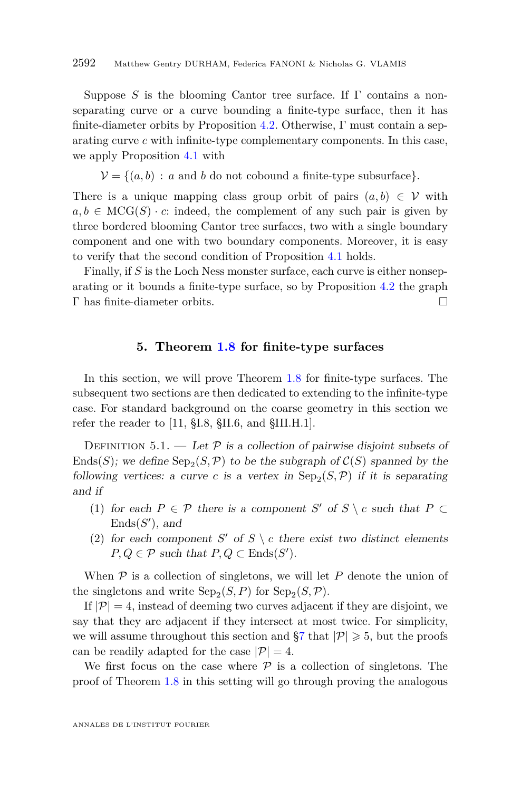Suppose *S* is the blooming Cantor tree surface. If Γ contains a nonseparating curve or a curve bounding a finite-type surface, then it has finite-diameter orbits by Proposition [4.2.](#page-10-4) Otherwise, Γ must contain a separating curve *c* with infinite-type complementary components. In this case, we apply Proposition [4.1](#page-10-3) with

 $V = \{(a, b) : a \text{ and } b \text{ do not cobound a finite-type subsurface}\}.$ 

There is a unique mapping class group orbit of pairs  $(a, b) \in V$  with  $a, b \in \text{MCG}(S) \cdot c$ : indeed, the complement of any such pair is given by three bordered blooming Cantor tree surfaces, two with a single boundary component and one with two boundary components. Moreover, it is easy to verify that the second condition of Proposition [4.1](#page-10-3) holds.

Finally, if *S* is the Loch Ness monster surface, each curve is either nonseparating or it bounds a finite-type surface, so by Proposition [4.2](#page-10-4) the graph Γ has finite-diameter orbits.

#### **5. Theorem [1.8](#page-6-0) for finite-type surfaces**

<span id="page-12-0"></span>In this section, we will prove Theorem [1.8](#page-6-0) for finite-type surfaces. The subsequent two sections are then dedicated to extending to the infinite-type case. For standard background on the coarse geometry in this section we refer the reader to [\[11,](#page-30-11) §I.8, §II.6, and §III.H.1].

DEFINITION 5.1. — Let  $P$  is a collection of pairwise disjoint subsets of  $\text{Ends}(S)$ ; we define  $\text{Sep}_2(S, \mathcal{P})$  to be the subgraph of  $\mathcal{C}(S)$  spanned by the following vertices: a curve *c* is a vertex in  $\text{Sep}_2(S, \mathcal{P})$  if it is separating and if

- (1) for each  $P \in \mathcal{P}$  there is a component *S*' of *S* \ *c* such that  $P \subset$  $Ends(S')$ , and
- (2) for each component *S'* of  $S \setminus c$  there exist two distinct elements  $P, Q \in \mathcal{P}$  such that  $P, Q \subset \text{Ends}(S')$ .

When  $P$  is a collection of singletons, we will let  $P$  denote the union of the singletons and write  $\text{Sep}_2(S, P)$  for  $\text{Sep}_2(S, P)$ .

If  $|\mathcal{P}| = 4$ , instead of deeming two curves adjacent if they are disjoint, we say that they are adjacent if they intersect at most twice. For simplicity, we will assume throughout this section and  $\S7$  that  $|\mathcal{P}| \geq 5$ , but the proofs can be readily adapted for the case  $|\mathcal{P}| = 4$ .

We first focus on the case where  $P$  is a collection of singletons. The proof of Theorem [1.8](#page-6-0) in this setting will go through proving the analogous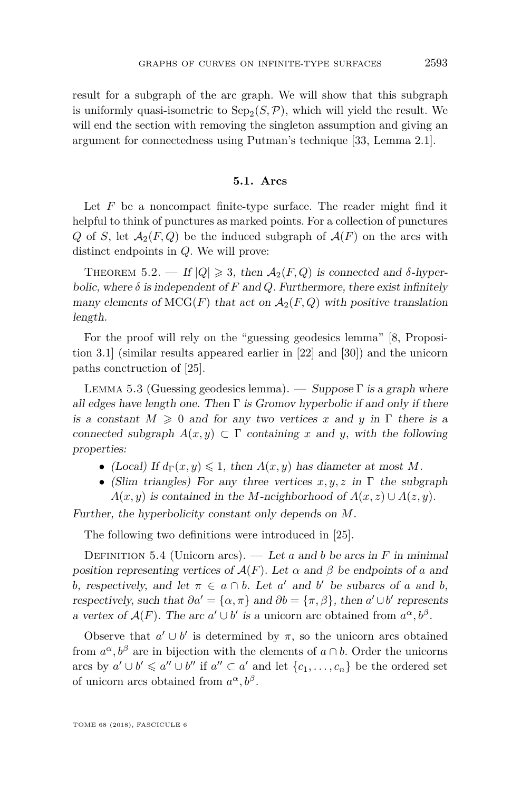result for a subgraph of the arc graph. We will show that this subgraph is uniformly quasi-isometric to  $\text{Sep}_2(S, \mathcal{P})$ , which will yield the result. We will end the section with removing the singleton assumption and giving an argument for connectedness using Putman's technique [\[33,](#page-31-15) Lemma 2.1].

#### **5.1. Arcs**

Let *F* be a noncompact finite-type surface. The reader might find it helpful to think of punctures as marked points. For a collection of punctures *Q* of *S*, let  $A_2(F,Q)$  be the induced subgraph of  $A(F)$  on the arcs with distinct endpoints in *Q*. We will prove:

<span id="page-13-1"></span>THEOREM 5.2. — If  $|Q| \geq 3$ , then  $A_2(F,Q)$  is connected and  $\delta$ -hyperbolic, where  $\delta$  is independent of F and Q. Furthermore, there exist infinitely many elements of  $MCG(F)$  that act on  $A_2(F,Q)$  with positive translation length.

For the proof will rely on the "guessing geodesics lemma" [\[8,](#page-30-9) Proposition 3.1] (similar results appeared earlier in [\[22\]](#page-31-16) and [\[30\]](#page-31-17)) and the unicorn paths conctruction of [\[25\]](#page-31-13).

<span id="page-13-0"></span>LEMMA 5.3 (Guessing geodesics lemma). — Suppose  $\Gamma$  is a graph where all edges have length one. Then  $\Gamma$  is Gromov hyperbolic if and only if there is a constant  $M \geq 0$  and for any two vertices x and y in  $\Gamma$  there is a connected subgraph  $A(x, y) \subset \Gamma$  containing x and y, with the following properties:

- (Local) If  $d_{\Gamma}(x, y) \leq 1$ , then  $A(x, y)$  has diameter at most M.
- (Slim triangles) For any three vertices *x, y, z* in Γ the subgraph  $A(x, y)$  is contained in the *M*-neighborhood of  $A(x, z) \cup A(z, y)$ .

Further, the hyperbolicity constant only depends on *M*.

The following two definitions were introduced in [\[25\]](#page-31-13).

DEFINITION 5.4 (Unicorn arcs). — Let *a* and *b* be arcs in *F* in minimal position representing vertices of  $A(F)$ . Let  $\alpha$  and  $\beta$  be endpoints of  $\alpha$  and *b*, respectively, and let  $\pi \in a \cap b$ . Let *a*<sup>'</sup> and *b*<sup>'</sup> be subarcs of *a* and *b*, respectively, such that  $\partial a' = {\alpha, \pi}$  and  $\partial b = {\pi, \beta}$ , then  $a' \cup b'$  represents a vertex of  $\mathcal{A}(F)$ . The arc  $a' \cup b'$  is a unicorn arc obtained from  $a^{\alpha}, b^{\beta}$ .

Observe that  $a' \cup b'$  is determined by  $\pi$ , so the unicorn arcs obtained from  $a^{\alpha}, b^{\beta}$  are in bijection with the elements of  $a \cap b$ . Order the unicorns arcs by  $a' \cup b' \leq a'' \cup b''$  if  $a'' \subset a'$  and let  $\{c_1, \ldots, c_n\}$  be the ordered set of unicorn arcs obtained from  $a^{\alpha}, b^{\beta}$ .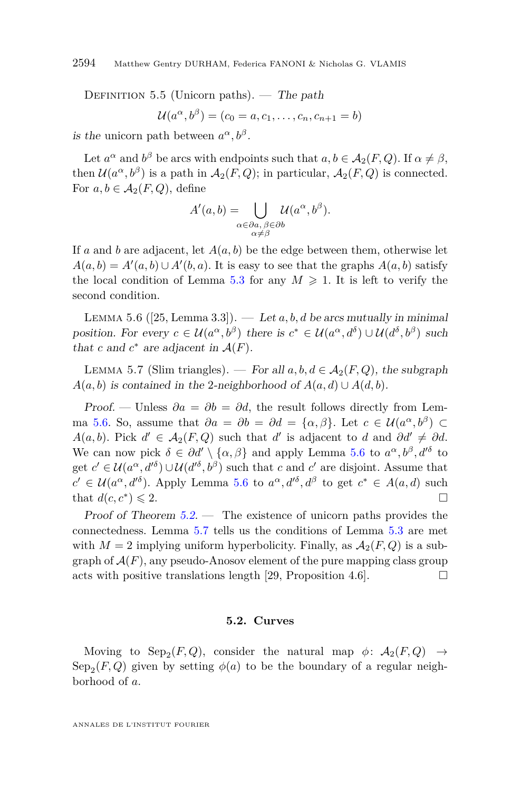DEFINITION 5.5 (Unicorn paths). — The path

$$
\mathcal{U}(a^{\alpha},b^{\beta})=(c_0=a,c_1,\ldots,c_n,c_{n+1}=b)
$$

is the unicorn path between  $a^{\alpha}, b^{\beta}$ .

Let  $a^{\alpha}$  and  $b^{\beta}$  be arcs with endpoints such that  $a, b \in A_2(F, Q)$ . If  $\alpha \neq \beta$ , then  $\mathcal{U}(a^{\alpha}, b^{\beta})$  is a path in  $\mathcal{A}_2(F, Q)$ ; in particular,  $\mathcal{A}_2(F, Q)$  is connected. For  $a, b \in A_2(F, Q)$ , define

$$
A'(a,b) = \bigcup_{\substack{\alpha \in \partial a, \ \beta \in \partial b \\ \alpha \neq \beta}} \mathcal{U}(a^{\alpha}, b^{\beta}).
$$

If *a* and *b* are adjacent, let  $A(a, b)$  be the edge between them, otherwise let  $A(a,b) = A'(a,b) \cup A'(b,a)$ . It is easy to see that the graphs  $A(a,b)$  satisfy the local condition of Lemma [5.3](#page-13-0) for any  $M \geqslant 1$ . It is left to verify the second condition.

<span id="page-14-0"></span>LEMMA 5.6 ([\[25,](#page-31-13) Lemma 3.3]). — Let  $a, b, d$  be arcs mutually in minimal position. For every  $c \in \mathcal{U}(a^{\alpha}, b^{\beta})$  there is  $c^* \in \mathcal{U}(a^{\alpha}, d^{\delta}) \cup \mathcal{U}(d^{\delta}, b^{\beta})$  such that *c* and  $c^*$  are adjacent in  $\mathcal{A}(F)$ .

<span id="page-14-1"></span>LEMMA 5.7 (Slim triangles). — For all  $a, b, d \in A_2(F, Q)$ , the subgraph  $A(a, b)$  is contained in the 2-neighborhood of  $A(a, d) \cup A(d, b)$ .

*Proof.* — Unless  $\partial a = \partial b = \partial d$ , the result follows directly from Lem-ma [5.6.](#page-14-0) So, assume that  $\partial a = \partial b = \partial d = {\alpha, \beta}$ . Let  $c \in \mathcal{U}(a^{\alpha}, b^{\beta}) \subset$ *A*(*a, b*). Pick  $d' \in A_2(F, Q)$  such that *d*' is adjacent to *d* and  $\partial d' \neq \partial d$ . We can now pick  $\delta \in \partial d' \setminus {\alpha, \beta}$  and apply Lemma [5.6](#page-14-0) to  $a^{\alpha}, b^{\beta}, d'^{\delta}$  to get  $c' \in \mathcal{U}(a^{\alpha}, d'^{\delta}) \cup \mathcal{U}(d'^{\delta}, b^{\beta})$  such that *c* and *c'* are disjoint. Assume that  $c' \in \mathcal{U}(a^{\alpha}, d'^{\delta})$ . Apply Lemma [5.6](#page-14-0) to  $a^{\alpha}, d'^{\delta}, d^{\beta}$  to get  $c^* \in A(a, d)$  such that  $d(c, c^*) \leq 2$ .  $) \leqslant 2.$ 

Proof of Theorem  $5.2$ . — The existence of unicorn paths provides the connectedness. Lemma [5.7](#page-14-1) tells us the conditions of Lemma [5.3](#page-13-0) are met with  $M = 2$  implying uniform hyperbolicity. Finally, as  $A_2(F, Q)$  is a subgraph of  $A(F)$ , any pseudo-Anosov element of the pure mapping class group acts with positive translations length [\[29,](#page-31-0) Proposition 4.6].  $\Box$ 

#### **5.2. Curves**

Moving to  $\text{Sep}_2(F,Q)$ , consider the natural map  $\phi\colon A_2(F,Q) \to$  $\text{Sep}_2(F, Q)$  given by setting  $\phi(a)$  to be the boundary of a regular neighborhood of *a*.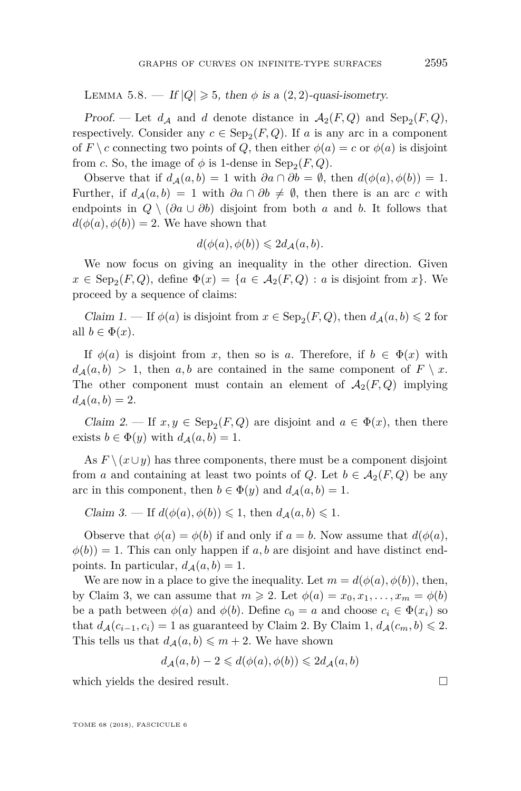<span id="page-15-0"></span>LEMMA 5.8. — If  $|Q| \geq 5$ , then  $\phi$  is a  $(2, 2)$ -quasi-isometry.

Proof. — Let  $d_A$  and  $d$  denote distance in  $A_2(F,Q)$  and  $\text{Sep}_2(F,Q)$ , respectively. Consider any  $c \in \text{Sep}_2(F, Q)$ . If *a* is any arc in a component of  $F \setminus c$  connecting two points of *Q*, then either  $\phi(a) = c$  or  $\phi(a)$  is disjoint from *c*. So, the image of  $\phi$  is 1-dense in  $\text{Sep}_2(F, Q)$ .

Observe that if  $d_A(a, b) = 1$  with  $\partial a \cap \partial b = \emptyset$ , then  $d(\phi(a), \phi(b)) = 1$ . Further, if  $d_A(a, b) = 1$  with  $\partial a \cap \partial b \neq \emptyset$ , then there is an arc *c* with endpoints in  $Q \setminus (\partial a \cup \partial b)$  disjoint from both *a* and *b*. It follows that  $d(\phi(a), \phi(b)) = 2$ . We have shown that

$$
d(\phi(a), \phi(b)) \leq 2d_{\mathcal{A}}(a, b).
$$

We now focus on giving an inequality in the other direction. Given  $x \in \text{Sep}_2(F, Q)$ , define  $\Phi(x) = \{a \in \mathcal{A}_2(F, Q) : a \text{ is disjoint from } x\}$ . We proceed by a sequence of claims:

Claim 1. — If  $\phi(a)$  is disjoint from  $x \in \text{Sep}_2(F, Q)$ , then  $d_{\mathcal{A}}(a, b) \leq 2$  for all  $b \in \Phi(x)$ .

If  $\phi(a)$  is disjoint from *x*, then so is *a*. Therefore, if  $b \in \Phi(x)$  with  $d_A(a, b) > 1$ , then *a, b* are contained in the same component of  $F \setminus x$ . The other component must contain an element of  $A_2(F,Q)$  implying  $d_A(a, b) = 2.$ 

Claim 2. — If  $x, y \in \text{Sep}_2(F, Q)$  are disjoint and  $a \in \Phi(x)$ , then there exists  $b \in \Phi(y)$  with  $d_A(a, b) = 1$ .

As  $F \setminus (x \cup y)$  has three components, there must be a component disjoint from *a* and containing at least two points of *Q*. Let  $b \in A_2(F, Q)$  be any arc in this component, then  $b \in \Phi(y)$  and  $d_A(a, b) = 1$ .

Claim 3. — If  $d(\phi(a), \phi(b)) \leq 1$ , then  $d_A(a, b) \leq 1$ .

Observe that  $\phi(a) = \phi(b)$  if and only if  $a = b$ . Now assume that  $d(\phi(a))$ ,  $\phi(b)$ ) = 1. This can only happen if *a, b* are disjoint and have distinct endpoints. In particular,  $d_{\mathcal{A}}(a, b) = 1$ .

We are now in a place to give the inequality. Let  $m = d(\phi(a), \phi(b))$ , then, by Claim 3, we can assume that  $m \geq 2$ . Let  $\phi(a) = x_0, x_1, \ldots, x_m = \phi(b)$ be a path between  $\phi(a)$  and  $\phi(b)$ . Define  $c_0 = a$  and choose  $c_i \in \Phi(x_i)$  so that  $d_A(c_{i-1}, c_i) = 1$  as guaranteed by Claim 2. By Claim 1,  $d_A(c_m, b) \leq 2$ . This tells us that  $d_{\mathcal{A}}(a, b) \leq m + 2$ . We have shown

$$
d_{\mathcal{A}}(a,b)-2\leqslant d(\phi(a),\phi(b))\leqslant 2d_{\mathcal{A}}(a,b)
$$

which yields the desired result.  $\Box$ 

TOME 68 (2018), FASCICULE 6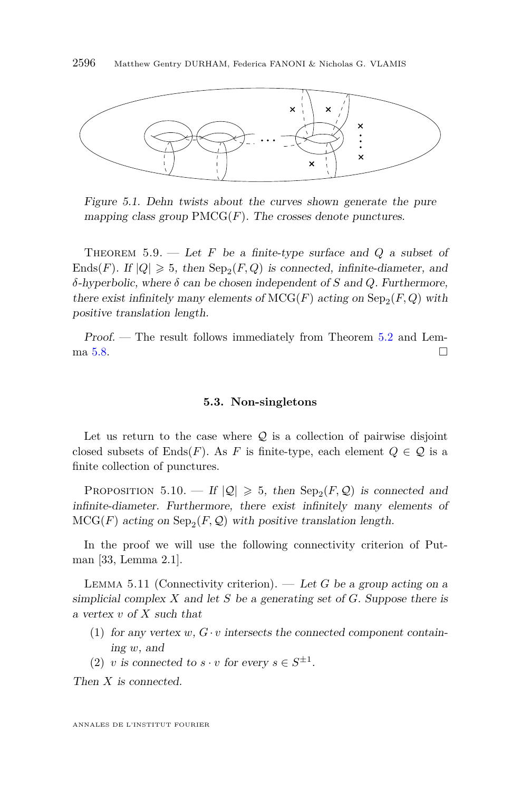

<span id="page-16-2"></span>Figure 5.1. Dehn twists about the curves shown generate the pure mapping class group  $\text{PMCG}(F)$ . The crosses denote punctures.

<span id="page-16-0"></span>THEOREM  $5.9.$  — Let F be a finite-type surface and Q a subset of Ends(*F*). If  $|Q| \ge 5$ , then  $\text{Sep}_2(F, Q)$  is connected, infinite-diameter, and *δ*-hyperbolic, where *δ* can be chosen independent of *S* and *Q*. Furthermore, there exist infinitely many elements of  $MCG(F)$  acting on  $Sep_2(F,Q)$  with positive translation length.

Proof. — The result follows immediately from Theorem [5.2](#page-13-1) and Lem-ma [5.8.](#page-15-0)  $\Box$ 

#### **5.3. Non-singletons**

Let us return to the case where  $\mathcal{Q}$  is a collection of pairwise disjoint closed subsets of Ends(*F*). As *F* is finite-type, each element  $Q \in \mathcal{Q}$  is a finite collection of punctures.

<span id="page-16-1"></span>PROPOSITION 5.10.  $-H |Q| \geq 5$ , then  $Sep_2(F,Q)$  is connected and infinite-diameter. Furthermore, there exist infinitely many elements of  $MCG(F)$  acting on  $Sep_2(F, \mathcal{Q})$  with positive translation length.

In the proof we will use the following connectivity criterion of Putman [\[33,](#page-31-15) Lemma 2.1].

<span id="page-16-3"></span>Lemma 5.11 (Connectivity criterion). — Let *G* be a group acting on a simplicial complex *X* and let *S* be a generating set of *G*. Suppose there is a vertex *v* of *X* such that

- (1) for any vertex  $w, G \cdot v$  intersects the connected component containing *w*, and
- (2) *v* is connected to  $s \cdot v$  for every  $s \in S^{\pm 1}$ .

Then *X* is connected.

ANNALES DE L'INSTITUT FOURIER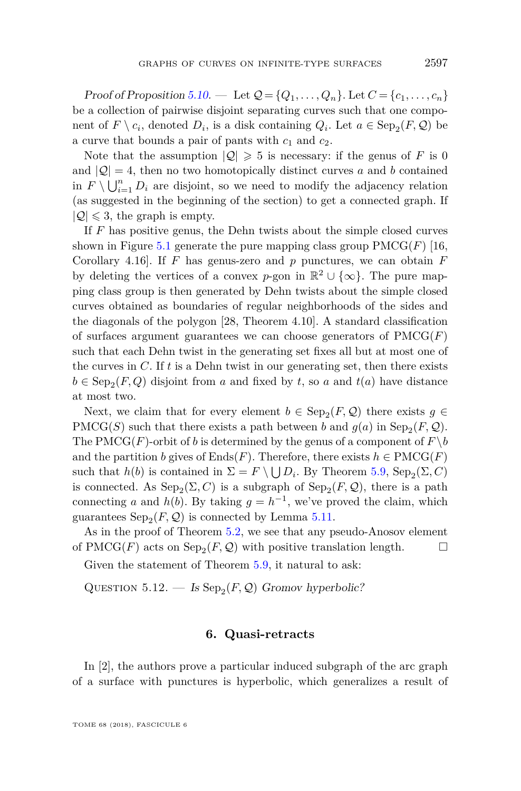Proof of Proposition [5.10.](#page-16-1) — Let  $Q = \{Q_1, \ldots, Q_n\}$ . Let  $C = \{c_1, \ldots, c_n\}$ be a collection of pairwise disjoint separating curves such that one component of  $F \setminus c_i$ , denoted  $D_i$ , is a disk containing  $Q_i$ . Let  $a \in \text{Sep}_2(F, Q)$  be a curve that bounds a pair of pants with  $c_1$  and  $c_2$ .

Note that the assumption  $|Q| \geq 5$  is necessary: if the genus of *F* is 0 and  $|Q| = 4$ , then no two homotopically distinct curves a and b contained in  $F \setminus \bigcup_{i=1}^n D_i$  are disjoint, so we need to modify the adjacency relation (as suggested in the beginning of the section) to get a connected graph. If  $|Q| \leq 3$ , the graph is empty.

If *F* has positive genus, the Dehn twists about the simple closed curves shown in Figure [5.1](#page-16-2) generate the pure mapping class group  $\text{PMCG}(F)$  [\[16,](#page-31-18) Corollary 4.16]. If  $F$  has genus-zero and  $p$  punctures, we can obtain  $F$ by deleting the vertices of a convex *p*-gon in  $\mathbb{R}^2 \cup \{\infty\}$ . The pure mapping class group is then generated by Dehn twists about the simple closed curves obtained as boundaries of regular neighborhoods of the sides and the diagonals of the polygon [\[28,](#page-31-19) Theorem 4.10]. A standard classification of surfaces argument guarantees we can choose generators of  $\text{PMCG}(F)$ such that each Dehn twist in the generating set fixes all but at most one of the curves in *C*. If *t* is a Dehn twist in our generating set, then there exists  $b \in \text{Sep}_2(F, Q)$  disjoint from *a* and fixed by *t*, so *a* and  $t(a)$  have distance at most two.

Next, we claim that for every element  $b \in \text{Sep}_2(F, \mathcal{Q})$  there exists  $g \in$  $\text{PMCG}(S)$  such that there exists a path between *b* and  $g(a)$  in  $\text{Sep}_2(F, \mathcal{Q})$ . The PMCG(*F*)-orbit of *b* is determined by the genus of a component of  $F \backslash b$ and the partition *b* gives of Ends(*F*). Therefore, there exists  $h \in \text{PMCG}(F)$ such that  $h(b)$  is contained in  $\Sigma = F \setminus \bigcup D_i$ . By Theorem [5.9,](#page-16-0) Sep<sub>2</sub>( $\Sigma$ , C) is connected. As  $\text{Sep}_2(\Sigma, C)$  is a subgraph of  $\text{Sep}_2(F, \mathcal{Q})$ , there is a path connecting *a* and *h*(*b*). By taking  $g = h^{-1}$ , we've proved the claim, which guarantees  $\text{Sep}_2(F, \mathcal{Q})$  is connected by Lemma [5.11.](#page-16-3)

As in the proof of Theorem [5.2,](#page-13-1) we see that any pseudo-Anosov element of PMCG(*F*) acts on  $\text{Sep}_2(F, \mathcal{Q})$  with positive translation length.  $\Box$ 

Given the statement of Theorem [5.9,](#page-16-0) it natural to ask:

QUESTION  $5.12.$  – Is  $\text{Sep}_2(F, \mathcal{Q})$  Gromov hyperbolic?

#### **6. Quasi-retracts**

<span id="page-17-0"></span>In [\[2\]](#page-30-0), the authors prove a particular induced subgraph of the arc graph of a surface with punctures is hyperbolic, which generalizes a result of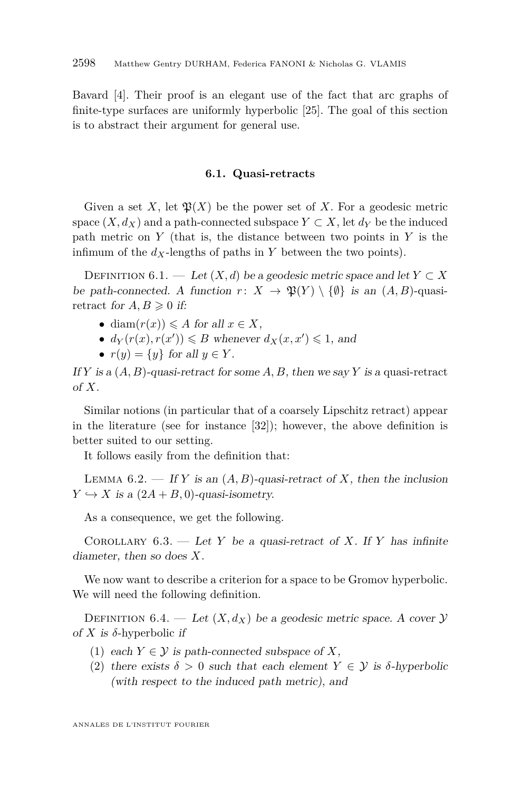Bavard [\[4\]](#page-30-2). Their proof is an elegant use of the fact that arc graphs of finite-type surfaces are uniformly hyperbolic [\[25\]](#page-31-13). The goal of this section is to abstract their argument for general use.

#### **6.1. Quasi-retracts**

Given a set X, let  $\mathfrak{P}(X)$  be the power set of X. For a geodesic metric space  $(X, d_X)$  and a path-connected subspace  $Y \subset X$ , let  $d_Y$  be the induced path metric on *Y* (that is, the distance between two points in *Y* is the infimum of the  $d_X$ -lengths of paths in  $Y$  between the two points).

DEFINITION 6.1. — Let  $(X, d)$  be a geodesic metric space and let  $Y \subset X$ be path-connected. A function  $r: X \to \mathfrak{P}(Y) \setminus \{\emptyset\}$  is an  $(A, B)$ -quasiretract for  $A, B \geq 0$  if:

- diam $(r(x)) \leq A$  for all  $x \in X$ ,
- $d_Y(r(x), r(x')) \le B$  whenever  $d_X(x, x') \le 1$ , and
- $r(y) = \{y\}$  for all  $y \in Y$ .

If *Y* is a  $(A, B)$ -quasi-retract for some A, B, then we say *Y* is a quasi-retract of *X*.

Similar notions (in particular that of a coarsely Lipschitz retract) appear in the literature (see for instance [\[32\]](#page-31-20)); however, the above definition is better suited to our setting.

It follows easily from the definition that:

<span id="page-18-0"></span>LEMMA  $6.2.$  — If *Y* is an  $(A, B)$ -quasi-retract of *X*, then the inclusion  $Y \hookrightarrow X$  is a  $(2A + B, 0)$ -quasi-isometry.

As a consequence, we get the following.

COROLLARY  $6.3.$  — Let *Y* be a quasi-retract of *X*. If *Y* has infinite diameter, then so does *X*.

We now want to describe a criterion for a space to be Gromov hyperbolic. We will need the following definition.

DEFINITION 6.4. — Let  $(X, d_X)$  be a geodesic metric space. A cover  $Y$ of *X* is *δ*-hyperbolic if

- (1) each  $Y \in \mathcal{Y}$  is path-connected subspace of X,
- (2) there exists  $\delta > 0$  such that each element  $Y \in \mathcal{Y}$  is  $\delta$ -hyperbolic (with respect to the induced path metric), and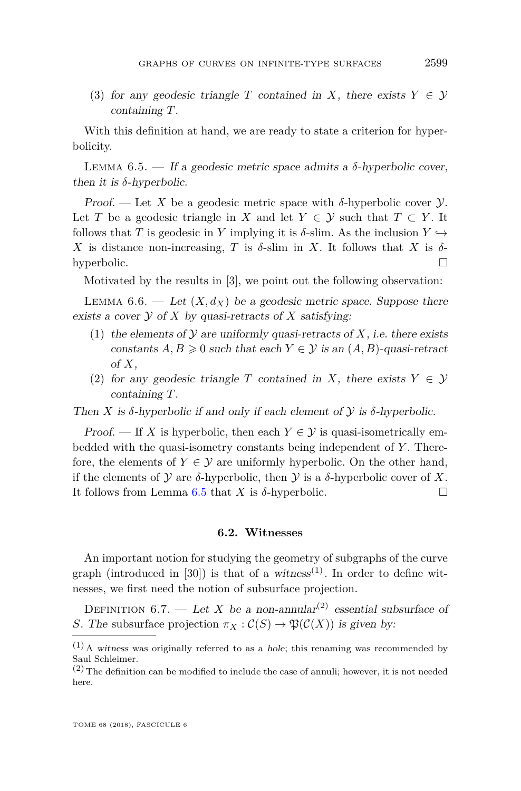(3) for any geodesic triangle *T* contained in *X*, there exists  $Y \in \mathcal{Y}$ containing *T*.

With this definition at hand, we are ready to state a criterion for hyperbolicity.

<span id="page-19-0"></span>LEMMA  $6.5.$  — If a geodesic metric space admits a  $\delta$ -hyperbolic cover, then it is  $\delta$ -hyperbolic.

Proof. — Let X be a geodesic metric space with  $\delta$ -hyperbolic cover  $\mathcal{Y}$ . Let *T* be a geodesic triangle in *X* and let  $Y \in \mathcal{Y}$  such that  $T \subset Y$ . It follows that *T* is geodesic in *Y* implying it is  $\delta$ -slim. As the inclusion  $Y \hookrightarrow$ *X* is distance non-increasing, *T* is *δ*-slim in *X*. It follows that *X* is *δ*hyperbolic.

Motivated by the results in [\[3\]](#page-30-1), we point out the following observation:

<span id="page-19-1"></span>LEMMA  $6.6.$  — Let  $(X, d_X)$  be a geodesic metric space. Suppose there exists a cover  $Y$  of  $X$  by quasi-retracts of  $X$  satisfying:

- (1) the elements of  $Y$  are uniformly quasi-retracts of  $X$ , i.e. there exists constants  $A, B \geq 0$  such that each  $Y \in \mathcal{Y}$  is an  $(A, B)$ -quasi-retract of  $X$ ,
- (2) for any geodesic triangle *T* contained in *X*, there exists  $Y \in \mathcal{Y}$ containing *T*.

Then *X* is  $\delta$ -hyperbolic if and only if each element of *y* is  $\delta$ -hyperbolic.

Proof. — If *X* is hyperbolic, then each  $Y \in \mathcal{Y}$  is quasi-isometrically embedded with the quasi-isometry constants being independent of *Y* . Therefore, the elements of  $Y \in \mathcal{Y}$  are uniformly hyperbolic. On the other hand, if the elements of  $\mathcal Y$  are  $\delta$ -hyperbolic, then  $\mathcal Y$  is a  $\delta$ -hyperbolic cover of X. It follows from Lemma [6.5](#page-19-0) that *X* is  $\delta$ -hyperbolic.

#### **6.2. Witnesses**

An important notion for studying the geometry of subgraphs of the curve graph (introduced in [\[30\]](#page-31-17)) is that of a witness<sup>(1)</sup>. In order to define witnesses, we first need the notion of subsurface projection.

DEFINITION 6.7. — Let *X* be a non-annular<sup>(2)</sup> essential subsurface of *S*. The subsurface projection  $\pi_X : C(S) \to \mathfrak{P}(C(X))$  is given by:

 $(1)$  A witness was originally referred to as a hole; this renaming was recommended by Saul Schleimer.

 $(2)$  The definition can be modified to include the case of annuli; however, it is not needed here.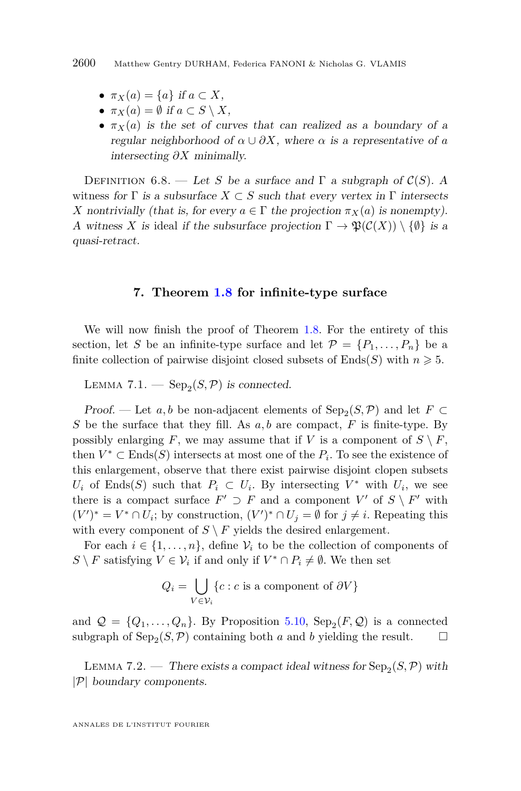- $\pi_X(a) = \{a\}$  if  $a \subset X$ ,
- $\pi_X(a) = \emptyset$  if  $a \subset S \setminus X$ ,
- $\pi_X(a)$  is the set of curves that can realized as a boundary of a regular neighborhood of  $\alpha \cup \partial X$ , where  $\alpha$  is a representative of  $\alpha$ intersecting *∂X* minimally.

DEFINITION 6.8. — Let *S* be a surface and  $\Gamma$  a subgraph of  $\mathcal{C}(S)$ . A witness for  $\Gamma$  is a subsurface  $X \subset S$  such that every vertex in  $\Gamma$  intersects *X* nontrivially (that is, for every  $a \in \Gamma$  the projection  $\pi_X(a)$  is nonempty). A witness X is ideal if the subsurface projection  $\Gamma \to \mathfrak{P}(\mathcal{C}(X)) \setminus \{\emptyset\}$  is a quasi-retract.

#### **7. Theorem [1.8](#page-6-0) for infinite-type surface**

<span id="page-20-0"></span>We will now finish the proof of Theorem [1.8.](#page-6-0) For the entirety of this section, let *S* be an infinite-type surface and let  $\mathcal{P} = \{P_1, \ldots, P_n\}$  be a finite collection of pairwise disjoint closed subsets of Ends(*S*) with  $n \geq 5$ .

LEMMA 7.1.  $-\text{Sep}_2(S,\mathcal{P})$  is connected.

*Proof.* — Let  $a, b$  be non-adjacent elements of  $\text{Sep}_2(S, \mathcal{P})$  and let  $F \subset$ *S* be the surface that they fill. As *a, b* are compact, *F* is finite-type. By possibly enlarging *F*, we may assume that if *V* is a component of  $S \setminus F$ , then  $V^* \subset \text{Ends}(S)$  intersects at most one of the  $P_i$ . To see the existence of this enlargement, observe that there exist pairwise disjoint clopen subsets *U<sub>i</sub>* of Ends(*S*) such that  $P_i \subset U_i$ . By intersecting  $V^*$  with  $U_i$ , we see there is a compact surface  $F' \supset F$  and a component  $V'$  of  $S \setminus F'$  with  $(V')^* = V^* \cap U_i$ ; by construction,  $(V')^* \cap U_j = \emptyset$  for  $j \neq i$ . Repeating this with every component of  $S \setminus F$  yields the desired enlargement.

For each  $i \in \{1, \ldots, n\}$ , define  $\mathcal{V}_i$  to be the collection of components of  $S \setminus F$  satisfying  $V \in V_i$  if and only if  $V^* \cap P_i \neq \emptyset$ . We then set

$$
Q_i = \bigcup_{V \in \mathcal{V}_i} \{c : c \text{ is a component of } \partial V\}
$$

and  $\mathcal{Q} = \{Q_1, \ldots, Q_n\}$ . By Proposition [5.10,](#page-16-1) Sep<sub>2</sub>(*F*, *Q*) is a connected subgraph of  $\text{Sep}_2(S, \mathcal{P})$  containing both *a* and *b* yielding the result.  $\Box$ 

<span id="page-20-1"></span>LEMMA 7.2. — There exists a compact ideal witness for  $\text{Sep}_2(S, \mathcal{P})$  with |P| boundary components.

ANNALES DE L'INSTITUT FOURIER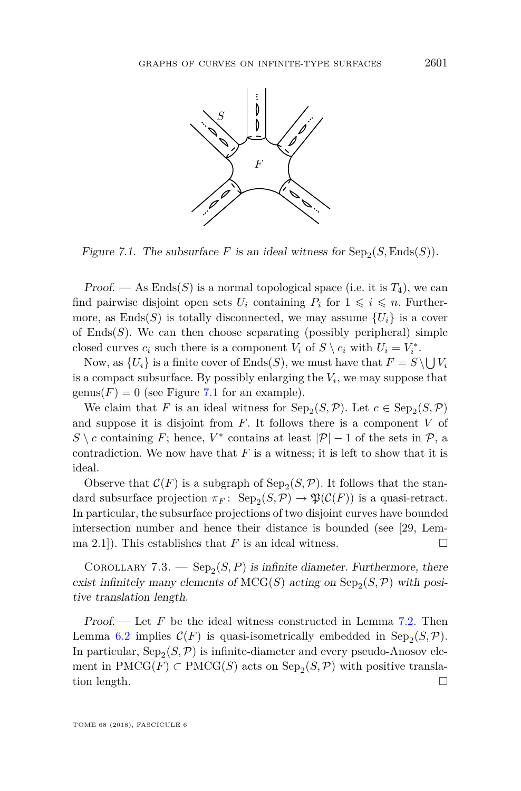

<span id="page-21-0"></span>Figure 7.1. The subsurface  $F$  is an ideal witness for  $\text{Sep}_2(S, \text{Ends}(S))$ .

Proof. — As  $End(s)$  is a normal topological space (i.e. it is  $T_4$ ), we can find pairwise disjoint open sets  $U_i$  containing  $P_i$  for  $1 \leq i \leq n$ . Furthermore, as Ends(S) is totally disconnected, we may assume  ${U_i}$  is a cover of  $Ends(S)$ . We can then choose separating (possibly peripheral) simple closed curves  $c_i$  such there is a component  $V_i$  of  $S \setminus c_i$  with  $U_i = V_i^*$ .

Now, as  $\{U_i\}$  is a finite cover of  $\text{Ends}(S)$ , we must have that  $F = S \setminus \bigcup V_i$ is a compact subsurface. By possibly enlarging the *V<sup>i</sup>* , we may suppose that  $genus(F) = 0$  (see Figure [7.1](#page-21-0) for an example).

We claim that *F* is an ideal witness for  $\text{Sep}_2(S, \mathcal{P})$ . Let  $c \in \text{Sep}_2(S, \mathcal{P})$ and suppose it is disjoint from *F*. It follows there is a component *V* of  $S \setminus c$  containing *F*; hence, *V*<sup>\*</sup> contains at least  $|\mathcal{P}| - 1$  of the sets in  $\mathcal{P}$ , a contradiction. We now have that *F* is a witness; it is left to show that it is ideal.

Observe that  $C(F)$  is a subgraph of  $\text{Sep}_2(S, \mathcal{P})$ . It follows that the standard subsurface projection  $\pi_F$ :  $\text{Sep}_2(S, \mathcal{P}) \to \mathfrak{P}(\mathcal{C}(F))$  is a quasi-retract. In particular, the subsurface projections of two disjoint curves have bounded intersection number and hence their distance is bounded (see [\[29,](#page-31-0) Lemma 2.1]). This establishes that *F* is an ideal witness.

COROLLARY 7.3.  $-$  Sep<sub>2</sub>(S, P) is infinite diameter. Furthermore, there exist infinitely many elements of  $MCG(S)$  acting on  $Sep_2(S, \mathcal{P})$  with positive translation length.

Proof. — Let *F* be the ideal witness constructed in Lemma [7.2.](#page-20-1) Then Lemma [6.2](#page-18-0) implies  $C(F)$  is quasi-isometrically embedded in  $Sep_2(S, \mathcal{P})$ . In particular,  $\text{Sep}_2(S, \mathcal{P})$  is infinite-diameter and every pseudo-Anosov element in  $\text{PMCG}(F) \subset \text{PMCG}(S)$  acts on  $\text{Sep}_2(S, \mathcal{P})$  with positive translation length.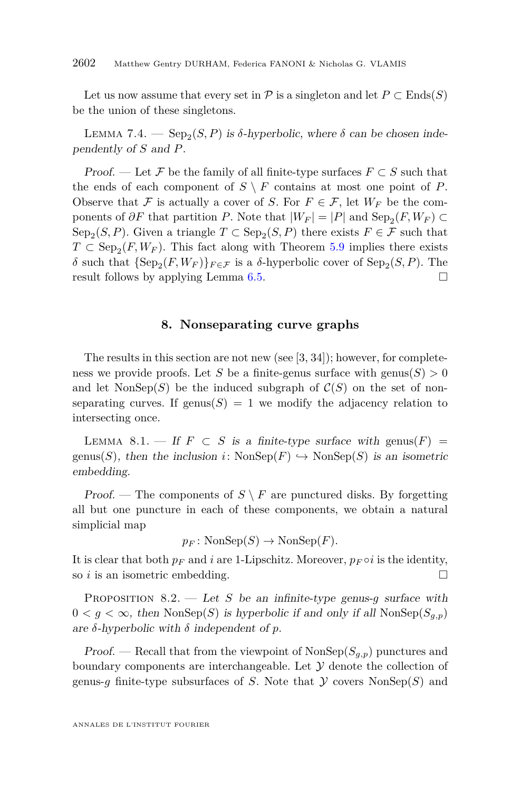Let us now assume that every set in  $\mathcal P$  is a singleton and let  $P \subset \text{Ends}(S)$ be the union of these singletons.

LEMMA 7.4. —  $\text{Sep}_2(S, P)$  is  $\delta$ -hyperbolic, where  $\delta$  can be chosen independently of *S* and *P*.

*Proof.* — Let F be the family of all finite-type surfaces  $F \subset S$  such that the ends of each component of  $S \setminus F$  contains at most one point of *P*. Observe that F is actually a cover of S. For  $F \in \mathcal{F}$ , let  $W_F$  be the components of  $\partial F$  that partition *P*. Note that  $|W_F| = |P|$  and  $\text{Sep}_2(F, W_F) \subset$  $\text{Sep}_2(S, P)$ . Given a triangle  $T \subset \text{Sep}_2(S, P)$  there exists  $F \in \mathcal{F}$  such that  $T \subset \text{Sep}_2(F, W_F)$ . This fact along with Theorem [5.9](#page-16-0) implies there exists *δ* such that  ${Sep_2(F, W_F)}_{F \in \mathcal{F}}$  is a *δ*-hyperbolic cover of  $Sep_2(S, P)$ . The result follows by applying Lemma [6.5.](#page-19-0)

#### **8. Nonseparating curve graphs**

<span id="page-22-0"></span>The results in this section are not new (see [\[3,](#page-30-1) [34\]](#page-31-12)); however, for completeness we provide proofs. Let *S* be a finite-genus surface with  $\text{genus}(S) > 0$ and let  $\text{NonSep}(S)$  be the induced subgraph of  $\mathcal{C}(S)$  on the set of nonseparating curves. If genus( $S$ ) = 1 we modify the adjacency relation to intersecting once.

<span id="page-22-1"></span>LEMMA 8.1. — If  $F \subset S$  is a finite-type surface with genus( $F$ ) = genus(*S*), then the inclusion *i*:  $\text{NonSep}(F) \hookrightarrow \text{NonSep}(S)$  is an isometric embedding.

Proof. — The components of  $S \setminus F$  are punctured disks. By forgetting all but one puncture in each of these components, we obtain a natural simplicial map

$$
p_F \colon \text{NonSep}(S) \to \text{NonSep}(F).
$$

It is clear that both  $p_F$  and *i* are 1-Lipschitz. Moreover,  $p_F \circ i$  is the identity, so *i* is an isometric embedding.

<span id="page-22-2"></span>Proposition 8.2. — Let *S* be an infinite-type genus-*g* surface with  $0 < g < \infty$ , then NonSep(S) is hyperbolic if and only if all NonSep( $S_{a,p}$ ) are *δ*-hyperbolic with *δ* independent of *p*.

Proof. — Recall that from the viewpoint of  $\text{NonSep}(S_{q,p})$  punctures and boundary components are interchangeable. Let  $\mathcal Y$  denote the collection of genus-*g* finite-type subsurfaces of *S*. Note that  $\mathcal Y$  covers NonSep(*S*) and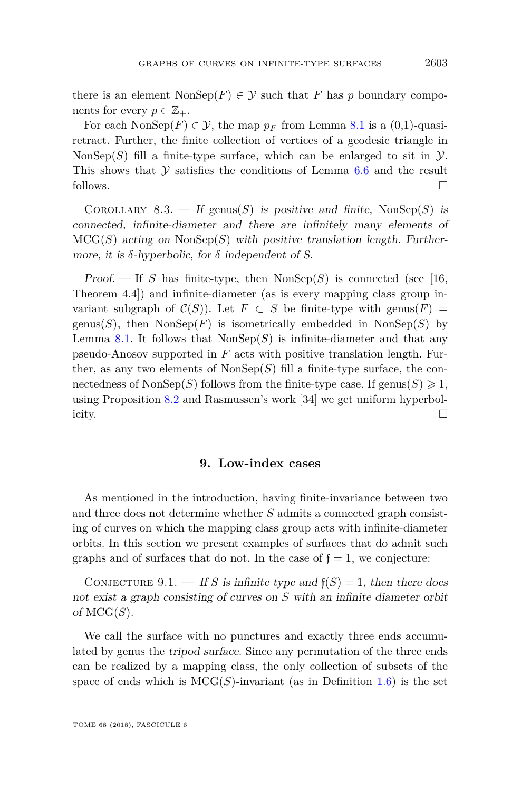there is an element  $\text{NonSep}(F) \in \mathcal{Y}$  such that *F* has *p* boundary components for every  $p \in \mathbb{Z}_+$ .

For each  $\text{NonSep}(F) \in \mathcal{Y}$ , the map  $p_F$  from Lemma [8.1](#page-22-1) is a (0.1)-quasiretract. Further, the finite collection of vertices of a geodesic triangle in NonSep $(S)$  fill a finite-type surface, which can be enlarged to sit in  $\mathcal{Y}$ . This shows that  $Y$  satisfies the conditions of Lemma [6.6](#page-19-1) and the result follows.

COROLLARY 8.3. — If genus(*S*) is positive and finite, NonSep(*S*) is connected, infinite-diameter and there are infinitely many elements of  $MCG(S)$  acting on  $NonSep(S)$  with positive translation length. Furthermore, it is  $\delta$ -hyperbolic, for  $\delta$  independent of S.

Proof.  $\overline{\phantom{a}}$  If *S* has finite-type, then NonSep(*S*) is connected (see [\[16,](#page-31-18) Theorem 4.4]) and infinite-diameter (as is every mapping class group invariant subgraph of  $\mathcal{C}(S)$ ). Let  $F \subset S$  be finite-type with genus( $F$ ) = genus(*S*), then  $NonSep(F)$  is isometrically embedded in  $NonSep(S)$  by Lemma [8.1.](#page-22-1) It follows that  $NonSep(S)$  is infinite-diameter and that any pseudo-Anosov supported in *F* acts with positive translation length. Further, as any two elements of  $\text{NonSep}(S)$  fill a finite-type surface, the connectedness of NonSep(*S*) follows from the finite-type case. If genus(*S*)  $\geq 1$ , using Proposition [8.2](#page-22-2) and Rasmussen's work [\[34\]](#page-31-12) we get uniform hyperbolicity.

#### **9. Low-index cases**

<span id="page-23-0"></span>As mentioned in the introduction, having finite-invariance between two and three does not determine whether *S* admits a connected graph consisting of curves on which the mapping class group acts with infinite-diameter orbits. In this section we present examples of surfaces that do admit such graphs and of surfaces that do not. In the case of  $f = 1$ , we conjecture:

CONJECTURE 9.1. — If *S* is infinite type and  $f(S) = 1$ , then there does not exist a graph consisting of curves on *S* with an infinite diameter orbit of  $MCG(S)$ .

We call the surface with no punctures and exactly three ends accumulated by genus the tripod surface. Since any permutation of the three ends can be realized by a mapping class, the only collection of subsets of the space of ends which is  $MCG(S)$ -invariant (as in Definition [1.6\)](#page-5-0) is the set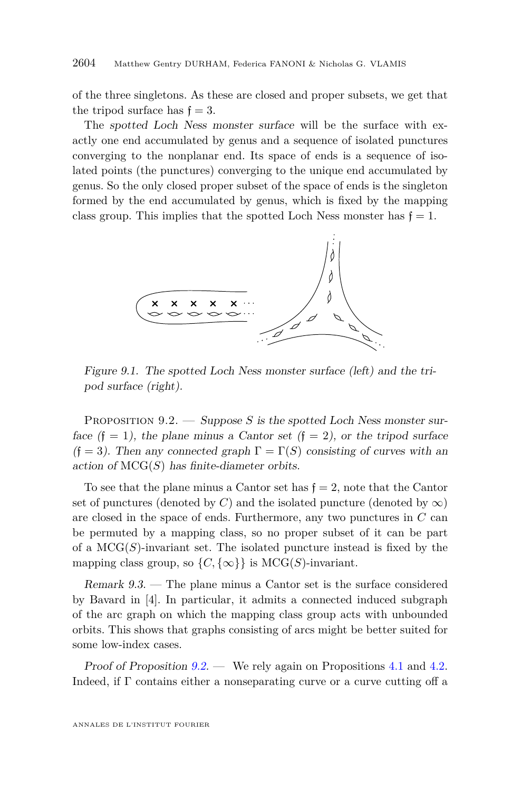of the three singletons. As these are closed and proper subsets, we get that the tripod surface has  $f = 3$ .

The spotted Loch Ness monster surface will be the surface with exactly one end accumulated by genus and a sequence of isolated punctures converging to the nonplanar end. Its space of ends is a sequence of isolated points (the punctures) converging to the unique end accumulated by genus. So the only closed proper subset of the space of ends is the singleton formed by the end accumulated by genus, which is fixed by the mapping class group. This implies that the spotted Loch Ness monster has  $f = 1$ .



Figure 9.1. The spotted Loch Ness monster surface (left) and the tripod surface (right).

<span id="page-24-0"></span>PROPOSITION 9.2. — Suppose *S* is the spotted Loch Ness monster surface  $(f = 1)$ , the plane minus a Cantor set  $(f = 2)$ , or the tripod surface  $(f = 3)$ . Then any connected graph  $\Gamma = \Gamma(S)$  consisting of curves with an action of  $MCG(S)$  has finite-diameter orbits.

To see that the plane minus a Cantor set has  $f = 2$ , note that the Cantor set of punctures (denoted by *C*) and the isolated puncture (denoted by  $\infty$ ) are closed in the space of ends. Furthermore, any two punctures in *C* can be permuted by a mapping class, so no proper subset of it can be part of a  $MCG(S)$ -invariant set. The isolated puncture instead is fixed by the mapping class group, so  $\{C, \{\infty\}\}\$ is MCG(*S*)-invariant.

Remark 9.3. — The plane minus a Cantor set is the surface considered by Bavard in [\[4\]](#page-30-2). In particular, it admits a connected induced subgraph of the arc graph on which the mapping class group acts with unbounded orbits. This shows that graphs consisting of arcs might be better suited for some low-index cases.

Proof of Proposition  $9.2$  — We rely again on Propositions [4.1](#page-10-3) and [4.2.](#page-10-4) Indeed, if  $\Gamma$  contains either a nonseparating curve or a curve cutting off a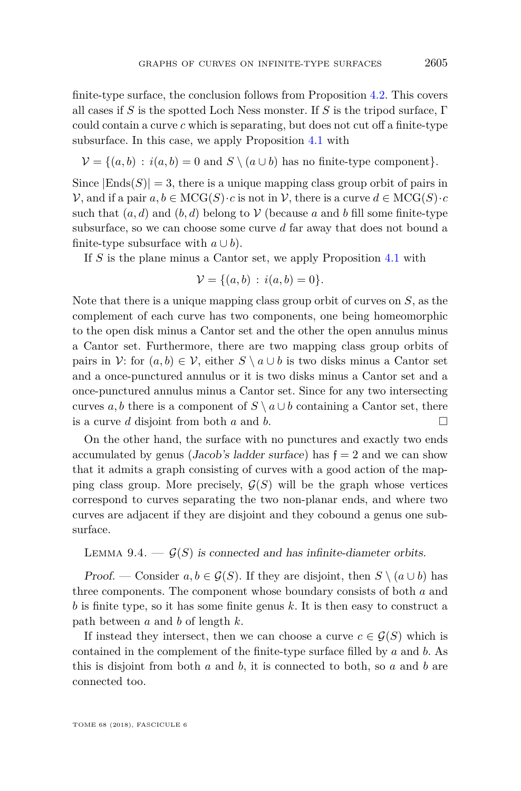finite-type surface, the conclusion follows from Proposition [4.2.](#page-10-4) This covers all cases if *S* is the spotted Loch Ness monster. If *S* is the tripod surface, Γ could contain a curve *c* which is separating, but does not cut off a finite-type subsurface. In this case, we apply Proposition [4.1](#page-10-3) with

$$
\mathcal{V} = \{(a, b) : i(a, b) = 0 \text{ and } S \setminus (a \cup b) \text{ has no finite-type component}\}.
$$

Since  $|Ends(S)| = 3$ , there is a unique mapping class group orbit of pairs in  $V$ , and if a pair  $a, b \in \mathrm{MCG}(S) \cdot c$  is not in  $V$ , there is a curve  $d \in \mathrm{MCG}(S) \cdot c$ such that  $(a, d)$  and  $(b, d)$  belong to  $\mathcal V$  (because a and b fill some finite-type subsurface, so we can choose some curve *d* far away that does not bound a finite-type subsurface with  $a \cup b$ ).

If *S* is the plane minus a Cantor set, we apply Proposition [4.1](#page-10-3) with

$$
\mathcal{V} = \{(a, b) : i(a, b) = 0\}.
$$

Note that there is a unique mapping class group orbit of curves on *S*, as the complement of each curve has two components, one being homeomorphic to the open disk minus a Cantor set and the other the open annulus minus a Cantor set. Furthermore, there are two mapping class group orbits of pairs in V: for  $(a, b) \in V$ , either  $S \setminus a \cup b$  is two disks minus a Cantor set and a once-punctured annulus or it is two disks minus a Cantor set and a once-punctured annulus minus a Cantor set. Since for any two intersecting curves *a, b* there is a component of  $S \setminus a \cup b$  containing a Cantor set, there is a curve *d* disjoint from both *a* and *b*.

On the other hand, the surface with no punctures and exactly two ends accumulated by genus (Jacob's ladder surface) has  $f = 2$  and we can show that it admits a graph consisting of curves with a good action of the mapping class group. More precisely,  $\mathcal{G}(S)$  will be the graph whose vertices correspond to curves separating the two non-planar ends, and where two curves are adjacent if they are disjoint and they cobound a genus one subsurface.

#### <span id="page-25-0"></span>LEMMA 9.4.  $-\mathcal{G}(S)$  is connected and has infinite-diameter orbits.

*Proof.* — Consider  $a, b \in \mathcal{G}(S)$ . If they are disjoint, then  $S \setminus (a \cup b)$  has three components. The component whose boundary consists of both *a* and *b* is finite type, so it has some finite genus *k*. It is then easy to construct a path between *a* and *b* of length *k*.

If instead they intersect, then we can choose a curve  $c \in \mathcal{G}(S)$  which is contained in the complement of the finite-type surface filled by *a* and *b*. As this is disjoint from both *a* and *b*, it is connected to both, so *a* and *b* are connected too.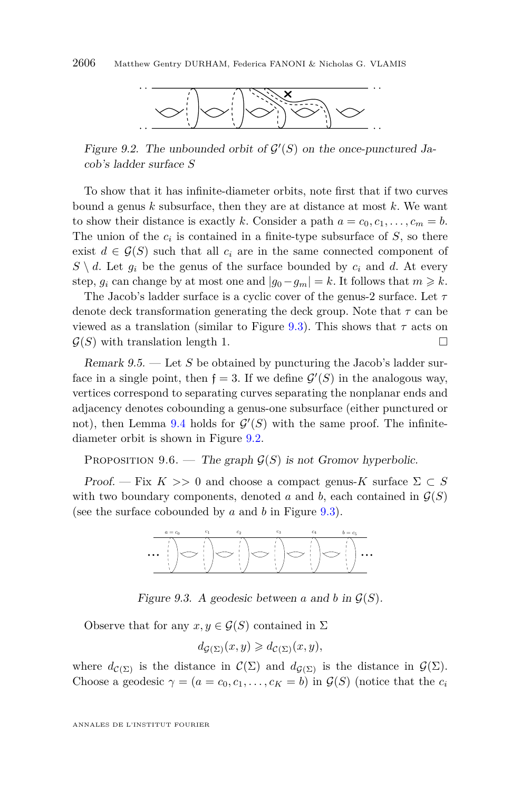<span id="page-26-1"></span>

Figure 9.2. The unbounded orbit of  $\mathcal{G}'(S)$  on the once-punctured Jacob's ladder surface *S*

To show that it has infinite-diameter orbits, note first that if two curves bound a genus *k* subsurface, then they are at distance at most *k*. We want to show their distance is exactly *k*. Consider a path  $a = c_0, c_1, \ldots, c_m = b$ . The union of the  $c_i$  is contained in a finite-type subsurface of  $S$ , so there exist  $d \in \mathcal{G}(S)$  such that all  $c_i$  are in the same connected component of  $S \setminus d$ . Let  $g_i$  be the genus of the surface bounded by  $c_i$  and *d*. At every step,  $q_i$  can change by at most one and  $|q_0 - q_m| = k$ . It follows that  $m \geq k$ .

The Jacob's ladder surface is a cyclic cover of the genus-2 surface. Let *τ* denote deck transformation generating the deck group. Note that *τ* can be viewed as a translation (similar to Figure [9.3\)](#page-26-0). This shows that *τ* acts on  $\mathcal{G}(S)$  with translation length 1.

Remark 9.5. — Let *S* be obtained by puncturing the Jacob's ladder surface in a single point, then  $f = 3$ . If we define  $\mathcal{G}'(S)$  in the analogous way, vertices correspond to separating curves separating the nonplanar ends and adjacency denotes cobounding a genus-one subsurface (either punctured or not), then Lemma [9.4](#page-25-0) holds for  $\mathcal{G}'(S)$  with the same proof. The infinitediameter orbit is shown in Figure [9.2.](#page-26-1)

PROPOSITION 9.6. — The graph  $\mathcal{G}(S)$  is not Gromov hyperbolic.

Proof. — Fix  $K \gg 0$  and choose a compact genus- $K$  surface  $\Sigma \subset S$ with two boundary components, denoted *a* and *b*, each contained in  $\mathcal{G}(S)$ (see the surface cobounded by *a* and *b* in Figure [9.3\)](#page-26-0).



Figure 9.3. A geodesic between  $a$  and  $b$  in  $\mathcal{G}(S)$ .

Observe that for any  $x, y \in \mathcal{G}(S)$  contained in  $\Sigma$ 

<span id="page-26-0"></span>
$$
d_{\mathcal{G}(\Sigma)}(x, y) \geq d_{\mathcal{C}(\Sigma)}(x, y),
$$

where  $d_{\mathcal{C}(\Sigma)}$  is the distance in  $\mathcal{C}(\Sigma)$  and  $d_{\mathcal{G}(\Sigma)}$  is the distance in  $\mathcal{G}(\Sigma)$ . Choose a geodesic  $\gamma = (a = c_0, c_1, \ldots, c_K = b)$  in  $\mathcal{G}(S)$  (notice that the  $c_i$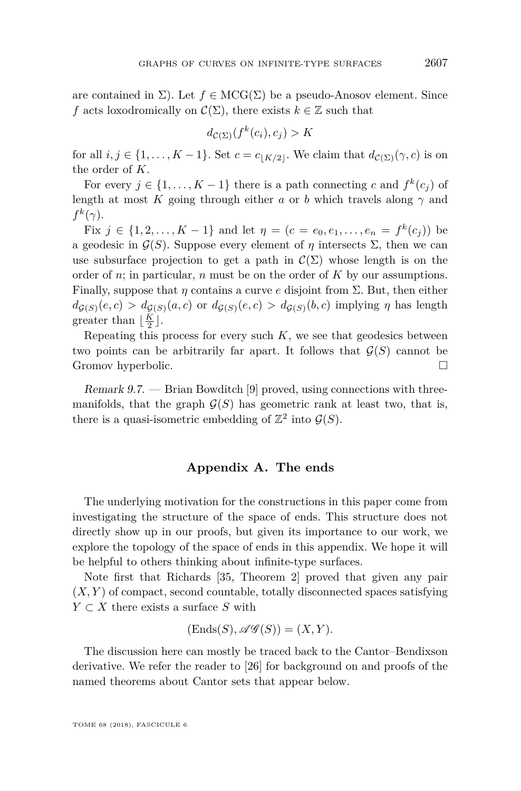are contained in  $\Sigma$ ). Let  $f \in \mathrm{MCG}(\Sigma)$  be a pseudo-Anosov element. Since *f* acts loxodromically on  $\mathcal{C}(\Sigma)$ , there exists  $k \in \mathbb{Z}$  such that

$$
d_{\mathcal{C}(\Sigma)}(f^k(c_i), c_j) > K
$$

for all  $i, j \in \{1, \ldots, K-1\}$ . Set  $c = c_{\lfloor K/2 \rfloor}$ . We claim that  $d_{\mathcal{C}(\Sigma)}(\gamma, c)$  is on the order of *K*.

For every  $j \in \{1, ..., K - 1\}$  there is a path connecting *c* and  $f^k(c_j)$  of length at most *K* going through either *a* or *b* which travels along  $\gamma$  and  $f^k(\gamma)$ .

Fix *j* ∈ {1, 2, . . . , K − 1} and let  $η = (c = e_0, e_1, \ldots, e_n = f^k(c_j))$  be a geodesic in  $\mathcal{G}(S)$ . Suppose every element of *η* intersects  $\Sigma$ , then we can use subsurface projection to get a path in  $\mathcal{C}(\Sigma)$  whose length is on the order of *n*; in particular, *n* must be on the order of *K* by our assumptions. Finally, suppose that *η* contains a curve *e* disjoint from Σ. But, then either  $d_{G(S)}(e, c) > d_{G(S)}(a, c)$  or  $d_{G(S)}(e, c) > d_{G(S)}(b, c)$  implying *η* has length greater than  $\lfloor \frac{K}{2} \rfloor$ .

Repeating this process for every such  $K$ , we see that geodesics between two points can be arbitrarily far apart. It follows that  $\mathcal{G}(S)$  cannot be Gromov hyperbolic.

Remark 9.7. — Brian Bowditch [\[9\]](#page-30-12) proved, using connections with threemanifolds, that the graph  $\mathcal{G}(S)$  has geometric rank at least two, that is, there is a quasi-isometric embedding of  $\mathbb{Z}^2$  into  $\mathcal{G}(S)$ .

#### **Appendix A. The ends**

The underlying motivation for the constructions in this paper come from investigating the structure of the space of ends. This structure does not directly show up in our proofs, but given its importance to our work, we explore the topology of the space of ends in this appendix. We hope it will be helpful to others thinking about infinite-type surfaces.

Note first that Richards [\[35,](#page-31-14) Theorem 2] proved that given any pair  $(X, Y)$  of compact, second countable, totally disconnected spaces satisfying *Y* ⊂ *X* there exists a surface *S* with

$$
(\mathrm{Ends}(S), \mathscr{AG}(S)) = (X, Y).
$$

The discussion here can mostly be traced back to the Cantor–Bendixson derivative. We refer the reader to [\[26\]](#page-31-21) for background on and proofs of the named theorems about Cantor sets that appear below.

TOME 68 (2018), FASCICULE 6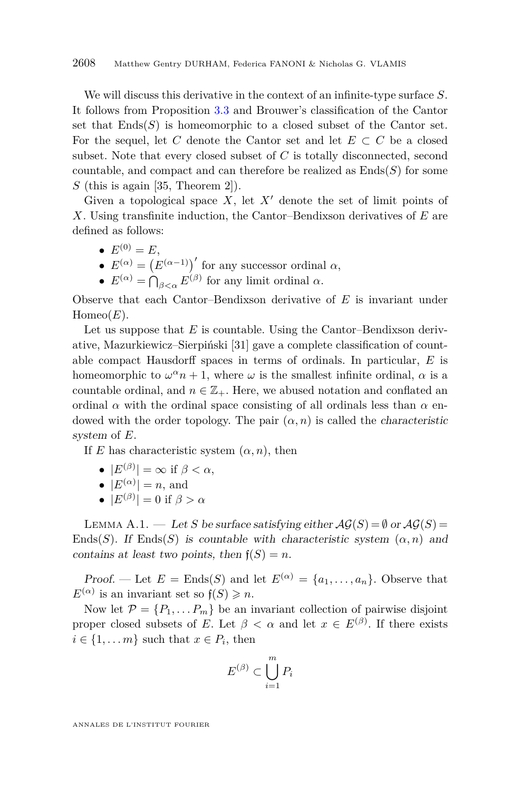We will discuss this derivative in the context of an infinite-type surface *S*. It follows from Proposition [3.3](#page-9-0) and Brouwer's classification of the Cantor set that  $End(s)$  is homeomorphic to a closed subset of the Cantor set. For the sequel, let C denote the Cantor set and let  $E \subset C$  be a closed subset. Note that every closed subset of *C* is totally disconnected, second countable, and compact and can therefore be realized as  $\text{Ends}(S)$  for some *S* (this is again [\[35,](#page-31-14) Theorem 2]).

Given a topological space  $X$ , let  $X'$  denote the set of limit points of *X*. Using transfinite induction, the Cantor–Bendixson derivatives of *E* are defined as follows:

- $E^{(0)} = E$ ,
- $E^{(\alpha)} = (E^{(\alpha-1)})'$  for any successor ordinal  $\alpha$ ,
- $E^{(\alpha)} = \bigcap_{\beta < \alpha} E^{(\beta)}$  for any limit ordinal  $\alpha$ .

Observe that each Cantor–Bendixson derivative of *E* is invariant under  $Homeo(E)$ .

Let us suppose that *E* is countable. Using the Cantor–Bendixson derivative, Mazurkiewicz–Sierpiński [\[31\]](#page-31-22) gave a complete classification of countable compact Hausdorff spaces in terms of ordinals. In particular, *E* is homeomorphic to  $\omega^{\alpha} n + 1$ , where  $\omega$  is the smallest infinite ordinal,  $\alpha$  is a countable ordinal, and  $n \in \mathbb{Z}_+$ . Here, we abused notation and conflated an ordinal  $\alpha$  with the ordinal space consisting of all ordinals less than  $\alpha$  endowed with the order topology. The pair  $(\alpha, n)$  is called the *characteristic* system of *E*.

If *E* has characteristic system  $(\alpha, n)$ , then

- $|E^{(\beta)}| = \infty$  if  $\beta < \alpha$ ,
- $|E^{(\alpha)}|=n$ , and
- $|E^{(\beta)}| = 0$  if  $\beta > \alpha$

<span id="page-28-0"></span>LEMMA A.1. — Let *S* be surface satisfying either  $\mathcal{AG}(S) = \emptyset$  or  $\mathcal{AG}(S) =$ Ends(*S*). If Ends(*S*) is countable with characteristic system  $(\alpha, n)$  and contains at least two points, then  $f(S) = n$ .

Proof. — Let  $E =$  Ends(*S*) and let  $E^{(\alpha)} = \{a_1, \ldots, a_n\}$ . Observe that  $E^{(\alpha)}$  is an invariant set so  $f(S) \geq n$ .

Now let  $\mathcal{P} = \{P_1, \ldots, P_m\}$  be an invariant collection of pairwise disjoint proper closed subsets of *E*. Let  $\beta < \alpha$  and let  $x \in E^{(\beta)}$ . If there exists  $i \in \{1, \ldots m\}$  such that  $x \in P_i$ , then

$$
E^{(\beta)} \subset \bigcup_{i=1}^{m} P_i
$$

ANNALES DE L'INSTITUT FOURIER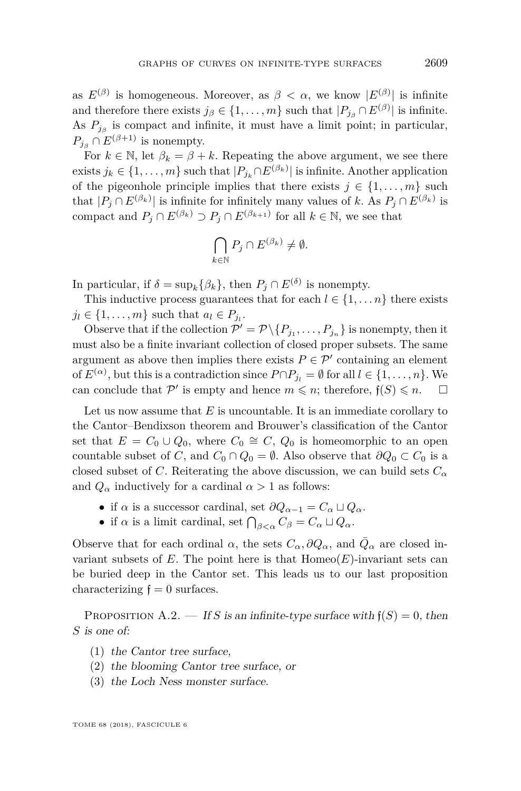as  $E^{(\beta)}$  is homogeneous. Moreover, as  $\beta < \alpha$ , we know  $|E^{(\beta)}|$  is infinite and therefore there exists  $j_{\beta} \in \{1, ..., m\}$  such that  $|P_{j_{\beta}} \cap E^{(\beta)}|$  is infinite. As  $P_{j\beta}$  is compact and infinite, it must have a limit point; in particular,  $P_{i} \cap E^{(\beta+1)}$  is nonempty.

For  $k \in \mathbb{N}$ , let  $\beta_k = \beta + k$ . Repeating the above argument, we see there exists  $j_k \in \{1, \ldots, m\}$  such that  $|P_{j_k} \cap E^{(\beta_k)}|$  is infinite. Another application of the pigeonhole principle implies that there exists  $j \in \{1, \ldots, m\}$  such that  $|P_j \cap E^{(\beta_k)}|$  is infinite for infinitely many values of *k*. As  $P_j \cap E^{(\beta_k)}$  is compact and  $P_j \cap E^{(\beta_k)} \supset P_j \cap E^{(\beta_{k+1})}$  for all  $k \in \mathbb{N}$ , we see that

$$
\bigcap_{k\in\mathbb{N}} P_j \cap E^{(\beta_k)} \neq \emptyset.
$$

In particular, if  $\delta = \sup_k {\beta_k}$ , then  $P_j \cap E^{(\delta)}$  is nonempty.

This inductive process guarantees that for each  $l \in \{1, \ldots n\}$  there exists  $j_l \in \{1, \ldots, m\}$  such that  $a_l \in P_{j_l}$ .

Observe that if the collection  $\mathcal{P}' = \mathcal{P} \setminus \{P_{j_1}, \ldots, P_{j_n}\}$  is nonempty, then it must also be a finite invariant collection of closed proper subsets. The same argument as above then implies there exists  $P \in \mathcal{P}'$  containing an element of  $E^{(\alpha)}$ , but this is a contradiction since  $P \cap P_{j_l} = \emptyset$  for all  $l \in \{1, \ldots, n\}$ . We can conclude that  $\mathcal{P}'$  is empty and hence  $m \leq n$ ; therefore,  $f(S) \leq n$ .  $\Box$ 

Let us now assume that *E* is uncountable. It is an immediate corollary to the Cantor–Bendixson theorem and Brouwer's classification of the Cantor set that  $E = C_0 \cup Q_0$ , where  $C_0 \cong C$ ,  $Q_0$  is homeomorphic to an open countable subset of *C*, and  $C_0 \cap Q_0 = \emptyset$ . Also observe that  $\partial Q_0 \subset C_0$  is a closed subset of *C*. Reiterating the above discussion, we can build sets  $C_{\alpha}$ and  $Q_{\alpha}$  inductively for a cardinal  $\alpha > 1$  as follows:

- if  $\alpha$  is a successor cardinal, set  $\partial Q_{\alpha-1} = C_{\alpha} \sqcup Q_{\alpha}$ .
- if  $\alpha$  is a limit cardinal, set  $\bigcap_{\beta<\alpha} C_{\beta} = C_{\alpha} \sqcup Q_{\alpha}$ .

Observe that for each ordinal  $\alpha$ , the sets  $C_{\alpha}$ ,  $\partial Q_{\alpha}$ , and  $\overline{Q}_{\alpha}$  are closed invariant subsets of  $E$ . The point here is that  $Homeo(E)$ -invariant sets can be buried deep in the Cantor set. This leads us to our last proposition characterizing  $f = 0$  surfaces.

<span id="page-29-0"></span>PROPOSITION A.2. — If *S* is an infinite-type surface with  $f(S) = 0$ , then *S* is one of:

- (1) the Cantor tree surface,
- (2) the blooming Cantor tree surface, or
- (3) the Loch Ness monster surface.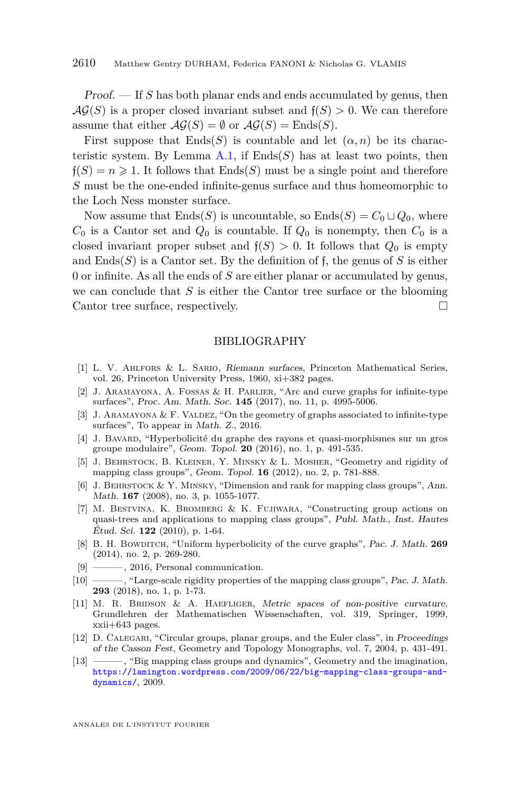Proof. — If *S* has both planar ends and ends accumulated by genus, then  $\mathcal{AG}(S)$  is a proper closed invariant subset and  $f(S) > 0$ . We can therefore assume that either  $\mathcal{AG}(S) = \emptyset$  or  $\mathcal{AG}(S) = \text{Ends}(S)$ .

First suppose that  $End(s)$  is countable and let  $(\alpha, n)$  be its characteristic system. By Lemma  $A.1$ , if  $Ends(S)$  has at least two points, then  $f(S) = n \geq 1$ . It follows that  $End(s)$  must be a single point and therefore *S* must be the one-ended infinite-genus surface and thus homeomorphic to the Loch Ness monster surface.

Now assume that  $Ends(S)$  is uncountable, so  $Ends(S) = C_0 \sqcup Q_0$ , where  $C_0$  is a Cantor set and  $Q_0$  is countable. If  $Q_0$  is nonempty, then  $C_0$  is a closed invariant proper subset and  $f(S) > 0$ . It follows that  $Q_0$  is empty and  $\text{End}(S)$  is a Cantor set. By the definition of f, the genus of S is either 0 or infinite. As all the ends of *S* are either planar or accumulated by genus, we can conclude that *S* is either the Cantor tree surface or the blooming Cantor tree surface, respectively.

#### BIBLIOGRAPHY

- <span id="page-30-10"></span>[1] L. V. Ahlfors & L. Sario, Riemann surfaces, Princeton Mathematical Series, vol. 26, Princeton University Press, 1960, xi+382 pages.
- <span id="page-30-0"></span>[2] J. Aramayona, A. Fossas & H. Parlier, "Arc and curve graphs for infinite-type surfaces", Proc. Am. Math. Soc. **145** (2017), no. 11, p. 4995-5006.
- <span id="page-30-1"></span>[3] J. ARAMAYONA  $&$  F. VALDEZ, "On the geometry of graphs associated to infinite-type surfaces", To appear in Math. Z., 2016.
- <span id="page-30-2"></span>[4] J. Bavard, "Hyperbolicité du graphe des rayons et quasi-morphismes sur un gros groupe modulaire", Geom. Topol. **20** (2016), no. 1, p. 491-535.
- <span id="page-30-7"></span>[5] J. Behrstock, B. Kleiner, Y. Minsky & L. Mosher, "Geometry and rigidity of mapping class groups", Geom. Topol. **16** (2012), no. 2, p. 781-888.
- <span id="page-30-5"></span>[6] J. BEHRSTOCK & Y. MINSKY, "Dimension and rank for mapping class groups", Ann. Math. **167** (2008), no. 3, p. 1055-1077.
- <span id="page-30-6"></span>[7] M. Bestvina, K. Bromberg & K. Fujiwara, "Constructing group actions on quasi-trees and applications to mapping class groups", Publ. Math., Inst. Hautes Étud. Sci. **122** (2010), p. 1-64.
- <span id="page-30-9"></span>[8] B. H. BOWDITCH, "Uniform hyperbolicity of the curve graphs", Pac. J. Math. **269** (2014), no. 2, p. 269-280.
- <span id="page-30-12"></span>[9] ——— , 2016, Personal communication.
- <span id="page-30-8"></span>[10] ——— , "Large-scale rigidity properties of the mapping class groups", Pac. J. Math. **293** (2018), no. 1, p. 1-73.
- <span id="page-30-11"></span>[11] M. R. BRIDSON & A. HAEFLIGER, Metric spaces of non-positive curvature, Grundlehren der Mathematischen Wissenschaften, vol. 319, Springer, 1999, xxii+643 pages.
- <span id="page-30-3"></span>[12] D. Calegari, "Circular groups, planar groups, and the Euler class", in Proceedings of the Casson Fest, Geometry and Topology Monographs, vol. 7, 2004, p. 431-491.
- <span id="page-30-4"></span>[13] ——— , "Big mapping class groups and dynamics", Geometry and the imagination, [https://lamington.wordpress.com/2009/06/22/big-mapping-class-groups-and](https://lamington.wordpress.com/2009/06/22/big-mapping-class-groups-and-dynamics/)[dynamics/](https://lamington.wordpress.com/2009/06/22/big-mapping-class-groups-and-dynamics/), 2009.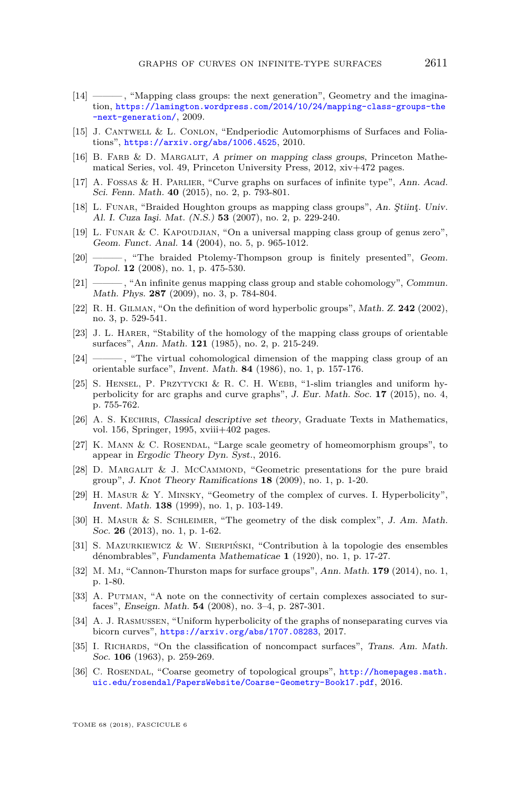- <span id="page-31-7"></span>[14] ——— , "Mapping class groups: the next generation", Geometry and the imagination, [https://lamington.wordpress.com/2014/10/24/mapping-class-groups-the](https://lamington.wordpress.com/2014/10/24/mapping-class-groups-the-next-generation/) [-next-generation/](https://lamington.wordpress.com/2014/10/24/mapping-class-groups-the-next-generation/), 2009.
- <span id="page-31-2"></span>[15] J. Cantwell & L. Conlon, "Endperiodic Automorphisms of Surfaces and Foliations", <https://arxiv.org/abs/1006.4525>, 2010.
- <span id="page-31-18"></span>[16] B. FARB & D. MARGALIT, A primer on mapping class groups, Princeton Mathematical Series, vol. 49, Princeton University Press, 2012, xiv+472 pages.
- <span id="page-31-1"></span>[17] A. Fossas & H. Parlier, "Curve graphs on surfaces of infinite type", Ann. Acad. Sci. Fenn. Math. **40** (2015), no. 2, p. 793-801.
- <span id="page-31-3"></span>[18] L. FUNAR, "Braided Houghton groups as mapping class groups", An. Stiint, Univ. Al. I. Cuza Iaşi. Mat. (N.S.) **53** (2007), no. 2, p. 229-240.
- <span id="page-31-4"></span>[19] L. FUNAR & C. KAPOUDJIAN, "On a universal mapping class group of genus zero", Geom. Funct. Anal. **14** (2004), no. 5, p. 965-1012.
- <span id="page-31-5"></span>[20] - , "The braided Ptolemy-Thompson group is finitely presented", Geom. Topol. **12** (2008), no. 1, p. 475-530.
- <span id="page-31-6"></span>[21] ——— , "An infinite genus mapping class group and stable cohomology", Commun. Math. Phys. **287** (2009), no. 3, p. 784-804.
- <span id="page-31-16"></span>[22] R. H. Gilman, "On the definition of word hyperbolic groups", Math. Z. **242** (2002), no. 3, p. 529-541.
- <span id="page-31-8"></span>[23] J. L. Harer, "Stability of the homology of the mapping class groups of orientable surfaces", Ann. Math. **121** (1985), no. 2, p. 215-249.
- <span id="page-31-9"></span>[24] ———, "The virtual cohomological dimension of the mapping class group of an orientable surface", Invent. Math. **84** (1986), no. 1, p. 157-176.
- <span id="page-31-13"></span>[25] S. HENSEL, P. PRZYTYCKI & R. C. H. WEBB, "1-slim triangles and uniform hyperbolicity for arc graphs and curve graphs", J. Eur. Math. Soc. **17** (2015), no. 4, p. 755-762.
- <span id="page-31-21"></span>[26] A. S. Kechris, Classical descriptive set theory, Graduate Texts in Mathematics, vol. 156, Springer, 1995, xviii $+402$  pages.
- <span id="page-31-11"></span>[27] K. MANN & C. ROSENDAL, "Large scale geometry of homeomorphism groups", to appear in Ergodic Theory Dyn. Syst., 2016.
- <span id="page-31-19"></span>[28] D. MARGALIT & J. MCCAMMOND, "Geometric presentations for the pure braid group", J. Knot Theory Ramifications **18** (2009), no. 1, p. 1-20.
- <span id="page-31-0"></span>[29] H. Masur & Y. Minsky, "Geometry of the complex of curves. I. Hyperbolicity", Invent. Math. **138** (1999), no. 1, p. 103-149.
- <span id="page-31-17"></span>[30] H. Masur & S. Schleimer, "The geometry of the disk complex", J. Am. Math. Soc. **26** (2013), no. 1, p. 1-62.
- <span id="page-31-22"></span>[31] S. Mazurkiewicz & W. Sierpiński, "Contribution à la topologie des ensembles dénombrables", Fundamenta Mathematicae **1** (1920), no. 1, p. 17-27.
- <span id="page-31-20"></span>[32] M. Mj, "Cannon-Thurston maps for surface groups", Ann. Math. **179** (2014), no. 1, p. 1-80.
- <span id="page-31-15"></span>[33] A. PUTMAN, "A note on the connectivity of certain complexes associated to surfaces", Enseign. Math. **54** (2008), no. 3–4, p. 287-301.
- <span id="page-31-12"></span>[34] A. J. Rasmussen, "Uniform hyperbolicity of the graphs of nonseparating curves via bicorn curves", <https://arxiv.org/abs/1707.08283>, 2017.
- <span id="page-31-14"></span>[35] I. RICHARDS, "On the classification of noncompact surfaces", Trans. Am. Math. Soc. **106** (1963), p. 259-269.
- <span id="page-31-10"></span>[36] C. Rosendal, "Coarse geometry of topological groups", [http://homepages.math.](http://homepages.math.uic.edu/ rosendal/PapersWebsite/Coarse-Geometry-Book17.pdf) [uic.edu/rosendal/PapersWebsite/Coarse-Geometry-Book17.pdf](http://homepages.math.uic.edu/ rosendal/PapersWebsite/Coarse-Geometry-Book17.pdf), 2016.